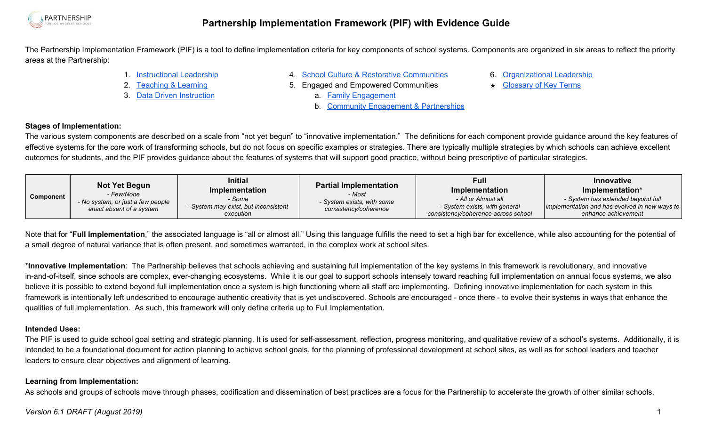

The Partnership Implementation Framework (PIF) is a tool to define implementation criteria for key components of school systems. Components are organized in six areas to reflect the priority areas at the Partnership:

1. [Instructional](#page-1-0) Leadership

2. [Teaching](#page-2-0) & Learning 3. Data Driven [Instruction](#page-5-0)

- 4. School Culture & Restorative [Communities](#page-6-0)
- 5. Engaged and Empowered Communities
- 6. [Organizational](#page-11-0) Leadership
	- ★ [Glossary](#page-15-0) of Key Terms
- a. Family [Engagement](#page-8-0)
	- b. Community [Engagement](#page-10-0) & Partnerships

### **Stages of Implementation:**

The various system components are described on a scale from "not yet begun" to "innovative implementation." The definitions for each component provide guidance around the key features of effective systems for the core work of transforming schools, but do not focus on specific examples or strategies. There are typically multiple strategies by which schools can achieve excellent outcomes for students, and the PIF provides guidance about the features of systems that will support good practice, without being prescriptive of particular strategies.

| Component | <b>Not Yet Begun</b><br>- Few/None<br>- No system, or just a few people<br>enact absent of a system | <b>Initial</b><br><b>Implementation</b><br>- Some<br>- System may exist, but inconsistent<br>execution | <b>Partial Implementation</b><br>- Most<br>- System exists, with some<br>consistency/coherence | Full<br><b>Implementation</b><br>- All or Almost all<br>- System exists, with general<br>consistency/coherence across school | Innovative<br>Implementation*<br>- System has extended beyond full<br>implementation and has evolved in new ways to<br>enhance achievement |
|-----------|-----------------------------------------------------------------------------------------------------|--------------------------------------------------------------------------------------------------------|------------------------------------------------------------------------------------------------|------------------------------------------------------------------------------------------------------------------------------|--------------------------------------------------------------------------------------------------------------------------------------------|
|-----------|-----------------------------------------------------------------------------------------------------|--------------------------------------------------------------------------------------------------------|------------------------------------------------------------------------------------------------|------------------------------------------------------------------------------------------------------------------------------|--------------------------------------------------------------------------------------------------------------------------------------------|

Note that for "**Full Implementation**," the associated language is "all or almost all." Using this language fulfills the need to set a high bar for excellence, while also accounting for the potential of a small degree of natural variance that is often present, and sometimes warranted, in the complex work at school sites.

\***Innovative Implementation**: The Partnership believes that schools achieving and sustaining full implementation of the key systems in this framework is revolutionary, and innovative in-and-of-itself, since schools are complex, ever-changing ecosystems. While it is our goal to support schools intensely toward reaching full implementation on annual focus systems, we also believe it is possible to extend beyond full implementation once a system is high functioning where all staff are implementing. Defining innovative implementation for each system in this framework is intentionally left undescribed to encourage authentic creativity that is yet undiscovered. Schools are encouraged - once there - to evolve their systems in ways that enhance the qualities of full implementation. As such, this framework will only define criteria up to Full Implementation.

### **Intended Uses:**

The PIF is used to quide school goal setting and strategic planning. It is used for self-assessment, reflection, progress monitoring, and qualitative review of a school's systems. Additionally, it is intended to be a foundational document for action planning to achieve school goals, for the planning of professional development at school sites, as well as for school leaders and teacher leaders to ensure clear objectives and alignment of learning.

### **Learning from Implementation:**

As schools and groups of schools move through phases, codification and dissemination of best practices are a focus for the Partnership to accelerate the growth of other similar schools.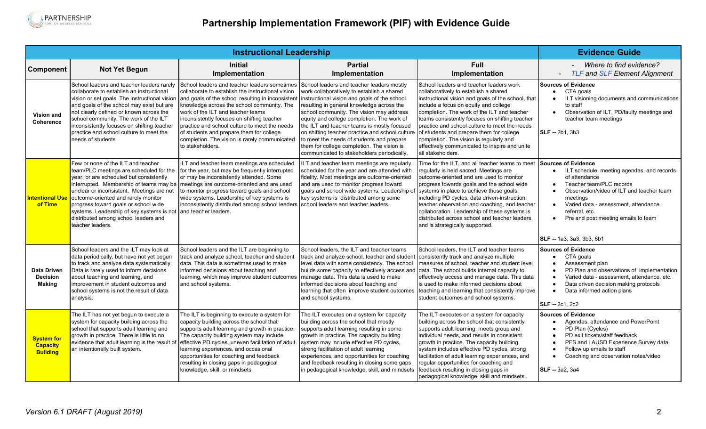

<span id="page-1-0"></span>

|                                                         |                                                                                                                                                                                                                                                                                                                                                                                         | <b>Evidence Guide</b>                                                                                                                                                                                                                                                                                                                                                                                                                                     |                                                                                                                                                                                                                                                                                                                                                                                                                                                                                                                           |                                                                                                                                                                                                                                                                                                                                                                                                                                                                                                |                                                                                                                                                                                                                                                                                                                                                      |
|---------------------------------------------------------|-----------------------------------------------------------------------------------------------------------------------------------------------------------------------------------------------------------------------------------------------------------------------------------------------------------------------------------------------------------------------------------------|-----------------------------------------------------------------------------------------------------------------------------------------------------------------------------------------------------------------------------------------------------------------------------------------------------------------------------------------------------------------------------------------------------------------------------------------------------------|---------------------------------------------------------------------------------------------------------------------------------------------------------------------------------------------------------------------------------------------------------------------------------------------------------------------------------------------------------------------------------------------------------------------------------------------------------------------------------------------------------------------------|------------------------------------------------------------------------------------------------------------------------------------------------------------------------------------------------------------------------------------------------------------------------------------------------------------------------------------------------------------------------------------------------------------------------------------------------------------------------------------------------|------------------------------------------------------------------------------------------------------------------------------------------------------------------------------------------------------------------------------------------------------------------------------------------------------------------------------------------------------|
| <b>Component</b>                                        | <b>Not Yet Begun</b>                                                                                                                                                                                                                                                                                                                                                                    | <b>Initial</b><br>Implementation                                                                                                                                                                                                                                                                                                                                                                                                                          | <b>Partial</b><br>Implementation                                                                                                                                                                                                                                                                                                                                                                                                                                                                                          | Full<br>Implementation                                                                                                                                                                                                                                                                                                                                                                                                                                                                         | Where to find evidence?<br><b>TLF and SLF Element Alignment</b>                                                                                                                                                                                                                                                                                      |
| <b>Vision and</b><br>Coherence                          | School leaders and teacher leaders rarely<br>collaborate to establish an instructional<br>vision or set goals. The instructional vision<br>and goals of the school may exist but are<br>not clearly defined or known across the<br>school community. The work of the ILT<br>inconsistently focuses on shifting teacher<br>practice and school culture to meet the<br>needs of students. | School leaders and teacher leaders sometimes<br>collaborate to establish the instructional vision<br>and goals of the school resulting in inconsistent<br>knowledge across the school community. The<br>work of the ILT and teacher teams<br>inconsistently focuses on shifting teacher<br>practice and school culture to meet the needs<br>of students and prepare them for college<br>completion. The vision is rarely communicated<br>to stakeholders. | School leaders and teacher leaders mostly<br>work collaboratively to establish a shared<br>instructional vision and goals of the school<br>resulting in general knowledge across the<br>school community. The vision may address<br>equity and college completion. The work of<br>the ILT and teacher teams is mostly focused<br>on shifting teacher practice and school culture<br>to meet the needs of students and prepare<br>them for college completion. The vision is<br>communicated to stakeholders periodically. | School leaders and teacher leaders work<br>collaboratively to establish a shared<br>instructional vision and goals of the school, that<br>include a focus on equity and college<br>completion. The work of the ILT and teacher<br>teams consistently focuses on shifting teacher<br>practice and school culture to meet the needs<br>of students and prepare them for college<br>completion. The vision is regularly and<br>effectively communicated to inspire and unite<br>all stakeholders. | <b>Sources of Evidence</b><br>CTA goals<br>$\bullet$<br>ILT visioning documents and communications<br>to staff<br>Observation of ILT, PD/faulty meetings and<br>teacher team meetings<br>SLF -- 2b1, 3b3                                                                                                                                             |
| Intentional Us<br>of Time                               | Few or none of the ILT and teacher<br>team/PLC meetings are scheduled for the<br>year, or are scheduled but consistently<br>unclear or inconsistent. Meetings are not<br>outcome-oriented and rarely monitor<br>progress toward goals or school wide<br>systems. Leadership of key systems is not<br>distributed among school leaders and<br>teacher leaders.                           | ILT and teacher team meetings are scheduled<br>for the year, but may be frequently interrupted<br>or may be inconsistently attended. Some<br>interrupted. Membership of teams may be   meetings are outcome-oriented and are used<br>to monitor progress toward goals and school<br>wide systems. Leadership of key systems is<br>inconsistently distributed among school leaders<br>land teacher leaders.                                                | ILT and teacher team meetings are regularly<br>scheduled for the year and are attended with<br>fidelity. Most meetings are outcome-oriented<br>and are used to monitor progress toward<br>goals and school wide systems. Leadership of<br>key systems is distributed among some<br>school leaders and teacher leaders.                                                                                                                                                                                                    | Time for the ILT, and all teacher teams to meet<br>regularly is held sacred. Meetings are<br>outcome-oriented and are used to monitor<br>progress towards goals and the school wide<br>systems in place to achieve those goals,<br>including PD cycles, data driven-instruction,<br>teacher observation and coaching, and teacher<br>collaboration. Leadership of these systems is<br>distributed across school and teacher leaders,<br>and is strategically supported.                        | <b>Sources of Evidence</b><br>ILT schedule, meeting agendas, and records<br>$\bullet$<br>of attendance<br>Teacher team/PLC records<br>Observation/video of ILT and teacher team<br>meetings<br>Varied data - assessment, attendance.<br>$\bullet$<br>referral, etc.<br>Pre and post meeting emails to team<br>$\bullet$<br>SLF -- 1a3, 3a3, 3b3, 6b1 |
| <b>Data Driven</b><br><b>Decision</b><br><b>Making</b>  | School leaders and the ILT may look at<br>data periodically, but have not yet begun<br>to track and analyze data systematically.<br>Data is rarely used to inform decisions<br>about teaching and learning, and<br>improvement in student outcomes and<br>school systems is not the result of data<br>analysis.                                                                         | School leaders and the ILT are beginning to<br>track and analyze school, teacher and student<br>data. This data is sometimes used to make<br>informed decisions about teaching and<br>learning, which may improve student outcomes<br>and school systems.                                                                                                                                                                                                 | School leaders, the ILT and teacher teams<br>track and analyze school, teacher and student<br>level data with some consistency. The school<br>builds some capacity to effectively access and<br>manage data. This data is used to make<br>informed decisions about teaching and<br>learning that often improve student outcomes<br>and school systems.                                                                                                                                                                    | School leaders, the ILT and teacher teams<br>consistently track and analyze multiple<br>measures of school, teacher and student level<br>data. The school builds internal capacity to<br>effectively access and manage data. This data<br>is used to make informed decisions about<br>teaching and learning that consistently improve<br>student outcomes and school systems.                                                                                                                  | <b>Sources of Evidence</b><br>CTA goals<br>$\bullet$<br>Assessment plan<br>PD Plan and observations of implementation<br>Varied data - assessment, attendance, etc.<br>Data driven decision making protocols<br>Data informed action plans<br>$\bullet$<br><b>SLF</b> -- 2c1, 2c2                                                                    |
| <b>System for</b><br><b>Capacity</b><br><b>Building</b> | The ILT has not yet begun to execute a<br>system for capacity building across the<br>school that supports adult learning and<br>growth in practice. There is little to no<br>evidence that adult learning is the result of<br>an intentionally built system.                                                                                                                            | The ILT is beginning to execute a system for<br>capacity building across the school that<br>supports adult learning and growth in practice.<br>The capacity building system may include<br>effective PD cycles, uneven facilitation of adult<br>learning experiences, and occasional<br>opportunities for coaching and feedback<br>resulting in closing gaps in pedagogical<br>knowledge, skill, or mindsets.                                             | The ILT executes on a system for capacity<br>building across the school that mostly<br>supports adult learning resulting in some<br>growth in practice. The capacity building<br>system may include effective PD cycles,<br>strong facilitation of adult learning<br>experiences, and opportunities for coaching<br>and feedback resulting in closing some gaps<br>in pedagogical knowledge, skill, and mindsets                                                                                                          | The ILT executes on a system for capacity<br>building across the school that consistently<br>supports adult learning, meets group and<br>individual needs, and results in consistent<br>growth in practice. The capacity building<br>system includes effective PD cycles, strong<br>facilitation of adult learning experiences, and<br>regular opportunities for coaching and<br>feedback resulting in closing gaps in<br>pedagogical knowledge, skill and mindsets                            | <b>Sources of Evidence</b><br>Agendas, attendance and PowerPoint<br>$\bullet$<br>PD Plan (Cycles)<br>PD exit tickets/staff feedback<br>$\bullet$<br>PFS and LAUSD Experience Survey data<br>Follow up emails to staff<br>Coaching and observation notes/video<br><b>SLF</b> - 3a2, 3a4                                                               |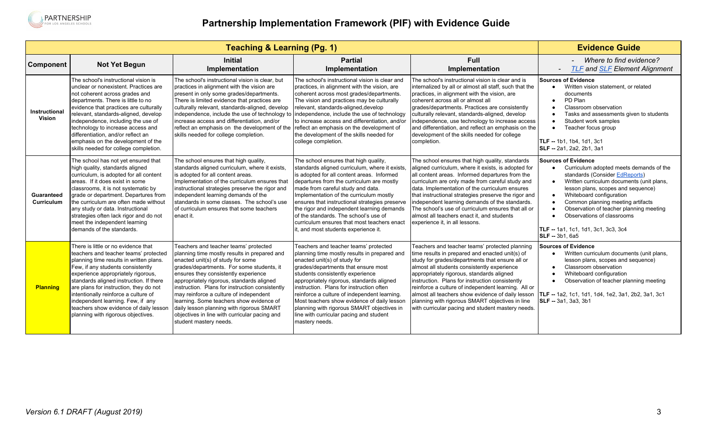

<span id="page-2-0"></span>

|                          |                                                                                                                                                                                                                                                                                                                                                                                                                                                      | <b>Evidence Guide</b>                                                                                                                                                                                                                                                                                                                                                                                                                                                                                                         |                                                                                                                                                                                                                                                                                                                                                                                                                                                                                                     |                                                                                                                                                                                                                                                                                                                                                                                                                                                                                                                         |                                                                                                                                                                                                                                                                                                                                                                                                             |
|--------------------------|------------------------------------------------------------------------------------------------------------------------------------------------------------------------------------------------------------------------------------------------------------------------------------------------------------------------------------------------------------------------------------------------------------------------------------------------------|-------------------------------------------------------------------------------------------------------------------------------------------------------------------------------------------------------------------------------------------------------------------------------------------------------------------------------------------------------------------------------------------------------------------------------------------------------------------------------------------------------------------------------|-----------------------------------------------------------------------------------------------------------------------------------------------------------------------------------------------------------------------------------------------------------------------------------------------------------------------------------------------------------------------------------------------------------------------------------------------------------------------------------------------------|-------------------------------------------------------------------------------------------------------------------------------------------------------------------------------------------------------------------------------------------------------------------------------------------------------------------------------------------------------------------------------------------------------------------------------------------------------------------------------------------------------------------------|-------------------------------------------------------------------------------------------------------------------------------------------------------------------------------------------------------------------------------------------------------------------------------------------------------------------------------------------------------------------------------------------------------------|
| Component                | <b>Not Yet Begun</b>                                                                                                                                                                                                                                                                                                                                                                                                                                 | <b>Initial</b><br>Implementation                                                                                                                                                                                                                                                                                                                                                                                                                                                                                              | <b>Partial</b><br>Implementation                                                                                                                                                                                                                                                                                                                                                                                                                                                                    | Full<br>Implementation                                                                                                                                                                                                                                                                                                                                                                                                                                                                                                  | Where to find evidence?<br><b>TLF and SLF Element Alignment</b><br>$\overline{\phantom{a}}$                                                                                                                                                                                                                                                                                                                 |
| Instructional<br>Vision  | The school's instructional vision is<br>unclear or nonexistent. Practices are<br>not coherent across grades and<br>departments. There is little to no<br>evidence that practices are culturally<br>relevant, standards-aligned, develop<br>independence, including the use of<br>technology to increase access and<br>differentiation, and/or reflect an<br>emphasis on the development of the<br>skills needed for college completion.              | The school's instructional vision is clear, but<br>practices in alignment with the vision are<br>present in only some grades/departments.<br>There is limited evidence that practices are<br>culturally relevant, standards-aligned, develop<br>independence, include the use of technology to<br>increase access and differentiation, and/or<br>reflect an emphasis on the development of the<br>skills needed for college completion.                                                                                       | The school's instructional vision is clear and<br>practices, in alignment with the vision, are<br>coherent across most grades/departments.<br>The vision and practices may be culturally<br>relevant, standards-aligned, develop<br>independence, include the use of technology<br>to increase access and differentiation, and/or<br>reflect an emphasis on the development of<br>the development of the skills needed for<br>college completion.                                                   | The school's instructional vision is clear and is<br>internalized by all or almost all staff, such that the<br>practices, in alignment with the vision, are<br>coherent across all or almost all<br>grades/departments. Practices are consistently<br>culturally relevant, standards-aligned, develop<br>independence, use technology to increase access<br>and differentiation, and reflect an emphasis on the<br>development of the skills needed for college<br>completion.                                          | <b>Sources of Evidence</b><br>Written vision statement, or related<br>documents<br>PD Plan<br>$\bullet$<br>Classroom observation<br>Tasks and assessments given to students<br>Student work samples<br>$\bullet$<br>Teacher focus group<br>TLF -- 1b1, 1b4, 1d1, 3c1<br>SLF -- 2a1, 2a2, 2b1, 3a1                                                                                                           |
| Guaranteed<br>Curriculum | The school has not yet ensured that<br>high quality, standards aligned<br>curriculum, is adopted for all content<br>areas. If it does exist in some<br>classrooms, it is not systematic by<br>grade or department. Departures from<br>the curriculum are often made without<br>any study or data. Instructional<br>strategies often lack rigor and do not<br>meet the independent learning<br>demands of the standards.                              | The school ensures that high quality,<br>standards aligned curriculum, where it exists,<br>is adopted for all content areas.<br>Implementation of the curriculum ensures that<br>instructional strategies preserve the rigor and<br>independent learning demands of the<br>standards in some classes. The school's use<br>of curriculum ensures that some teachers<br>enact it.                                                                                                                                               | The school ensures that high quality,<br>standards aligned curriculum, where it exists.<br>is adopted for all content areas. Informed<br>departures from the curriculum are mostly<br>made from careful study and data.<br>Implementation of the curriculum mostly<br>ensures that instructional strategies preserve<br>the rigor and independent learning demands<br>of the standards. The school's use of<br>curriculum ensures that most teachers enact<br>t, and most students experience it.   | The school ensures that high quality, standards<br>aligned curriculum, where it exists, is adopted for<br>all content areas. Informed departures from the<br>curriculum are only made from careful study and<br>data. Implementation of the curriculum ensures<br>that instructional strategies preserve the rigor and<br>independent learning demands of the standards.<br>The school's use of curriculum ensures that all or<br>almost all teachers enact it, and students<br>experience it, in all lessons.          | <b>Sources of Evidence</b><br>Curriculum adopted meets demands of the<br>standards (Consider EdReports)<br>Written curriculum documents (unit plans,<br>lesson plans, scopes and sequence)<br>Whiteboard configuration<br>$\bullet$<br>Common planning meeting artifacts<br>Observation of teacher planning meeting<br>Observations of classrooms<br>TLF -- 1a1, 1c1, 1d1, 3c1, 3c3, 3c4<br>SLF -- 3b1, 6a5 |
| <b>Planning</b>          | There is little or no evidence that<br>teachers and teacher teams' protected<br>planning time results in written plans.<br>Few, if any students consistently<br>experience appropriately rigorous,<br>standards aligned instruction. If there<br>are plans for instruction, they do not<br>intentionally reinforce a culture of<br>independent learning. Few, if any<br>teachers show evidence of daily lesson<br>planning with rigorous objectives. | Teachers and teacher teams' protected<br>planning time mostly results in prepared and<br>enacted unit(s) of study for some<br>grades/departments. For some students, it<br>ensures they consistently experience<br>appropriately rigorous, standards aligned<br>instruction. Plans for instruction consistently<br>may reinforce a culture of independent<br>learning. Some teachers show evidence of<br>daily lesson planning with rigorous SMART<br>objectives in line with curricular pacing and<br>student mastery needs. | Teachers and teacher teams' protected<br>planning time mostly results in prepared and<br>enacted unit(s) of study for<br>grades/departments that ensure most<br>students consistently experience<br>appropriately rigorous, standards aligned<br>instruction. Plans for instruction often<br>reinforce a culture of independent learning.<br>Most teachers show evidence of daily lesson<br>planning with rigorous SMART objectives in<br>line with curricular pacing and student<br>mastery needs. | Teachers and teacher teams' protected planning<br>time results in prepared and enacted unit(s) of<br>study for grades/departments that ensure all or<br>almost all students consistently experience<br>appropriately rigorous, standards aligned<br>instruction. Plans for instruction consistently<br>reinforce a culture of independent learning. All or<br>almost all teachers show evidence of daily lesson<br>planning with rigorous SMART objectives in line<br>with curricular pacing and student mastery needs. | <b>Sources of Evidence</b><br>Written curriculum documents (unit plans,<br>$\bullet$<br>lesson plans, scopes and sequence)<br>Classroom observation<br>$\bullet$<br>Whiteboard configuration<br>Observation of teacher planning meeting<br>TLF -- 1a2, 1c1, 1d1, 1d4, 1e2, 3a1, 2b2, 3a1, 3c1<br>SLF -- 3a1, 3a3, 3b1                                                                                       |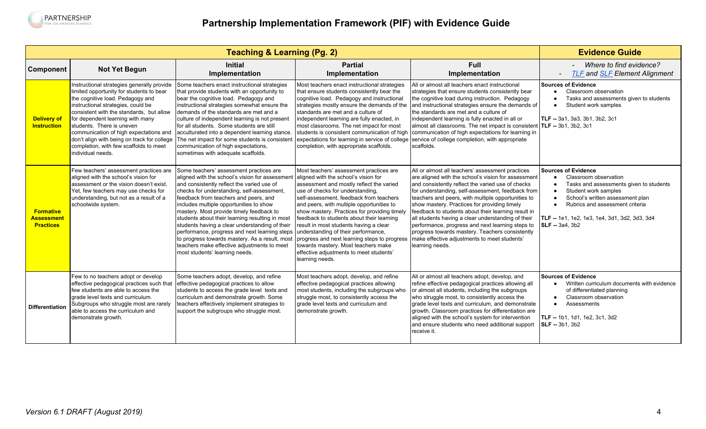

|                                                           |                                                                                                                                                                                                                                                                                                                                                                                        | <b>Evidence Guide</b>                                                                                                                                                                                                                                                                                                                                                                                                                                                                                                                                                                                           |                                                                                                                                                                                                                                                                                                                                                                                                                                                                                                                                                                                            |                                                                                                                                                                                                                                                                                                                                                                                                                                                                                                                                                                                                                |                                                                                                                                                                                                                                                                                       |
|-----------------------------------------------------------|----------------------------------------------------------------------------------------------------------------------------------------------------------------------------------------------------------------------------------------------------------------------------------------------------------------------------------------------------------------------------------------|-----------------------------------------------------------------------------------------------------------------------------------------------------------------------------------------------------------------------------------------------------------------------------------------------------------------------------------------------------------------------------------------------------------------------------------------------------------------------------------------------------------------------------------------------------------------------------------------------------------------|--------------------------------------------------------------------------------------------------------------------------------------------------------------------------------------------------------------------------------------------------------------------------------------------------------------------------------------------------------------------------------------------------------------------------------------------------------------------------------------------------------------------------------------------------------------------------------------------|----------------------------------------------------------------------------------------------------------------------------------------------------------------------------------------------------------------------------------------------------------------------------------------------------------------------------------------------------------------------------------------------------------------------------------------------------------------------------------------------------------------------------------------------------------------------------------------------------------------|---------------------------------------------------------------------------------------------------------------------------------------------------------------------------------------------------------------------------------------------------------------------------------------|
| Component                                                 | <b>Not Yet Begun</b>                                                                                                                                                                                                                                                                                                                                                                   | <b>Initial</b><br>Implementation                                                                                                                                                                                                                                                                                                                                                                                                                                                                                                                                                                                | <b>Partial</b><br>Implementation                                                                                                                                                                                                                                                                                                                                                                                                                                                                                                                                                           | <b>Full</b><br>Implementation                                                                                                                                                                                                                                                                                                                                                                                                                                                                                                                                                                                  | Where to find evidence?<br><b>TLF and SLF Element Alignment</b><br>$\overline{\phantom{a}}$                                                                                                                                                                                           |
| <b>Delivery of</b><br><b>Instruction</b>                  | Instructional strategies generally provide<br>limited opportunity for students to bear<br>the cognitive load. Pedagogy and<br>instructional strategies, could be<br>consistent with the standards, but allow<br>for dependent learning with many<br>students. There is uneven<br>communication of high expectations and<br>completion, with few scaffolds to meet<br>individual needs. | Some teachers enact instructional strategies<br>that provide students with an opportunity to<br>bear the cognitive load. Pedagogy and<br>instructional strategies somewhat ensure the<br>demands of the standards are met and a<br>culture of independent learning is not present<br>for all students. Some students are still<br>acculturated into a dependent learning stance.<br>don't align with being on track for college   The net impact for some students is consistent<br>communication of high expectations,<br>sometimes with adequate scaffolds.                                                   | Most teachers enact instructional strategies<br>that ensure students consistently bear the<br>cognitive load. Pedagogy and instructional<br>strategies mostly ensure the demands of the<br>standards are met and a culture of<br>independent learning are fully enacted, in<br>most classrooms. The net impact for most<br>students is consistent communication of high<br>completion, with appropriate scaffolds.                                                                                                                                                                         | All or almost all teachers enact instructional<br>strategies that ensure students consistently bear<br>the cognitive load during instruction. Pedagogy<br>and instructional strategies ensure the demands of<br>the standards are met and a culture of<br>independent learning is fully enacted in all or<br>almost all classrooms. The net impact is consistent<br>communication of high expectations for learning in<br>expectations for learning in service of college service of college completion, with appropriate<br>scaffolds.                                                                        | <b>Sources of Evidence</b><br>Classroom observation<br>$\bullet$<br>Tasks and assessments given to students<br>Student work samples<br>$\bullet$<br>TLF -- 3a1, 3a3, 3b1, 3b2, 3c1<br>TLF -- 3b1, 3b2, 3c1                                                                            |
| <b>Formative</b><br><b>Assessment</b><br><b>Practices</b> | Few teachers' assessment practices are<br>aligned with the school's vision for<br>assessment or the vision doesn't exist.<br>Yet, few teachers may use checks for<br>understanding, but not as a result of a<br>schoolwide system.                                                                                                                                                     | Some teachers' assessment practices are<br>aligned with the school's vision for assessment<br>and consistently reflect the varied use of<br>checks for understanding, self-assessment,<br>feedback from teachers and peers, and<br>includes multiple opportunities to show<br>mastery. Most provide timely feedback to<br>students about their learning resulting in most<br>students having a clear understanding of their<br>performance, progress and next learning steps<br>to progress towards mastery. As a result, most<br>teachers make effective adjustments to meet<br>most students' learning needs. | Most teachers' assessment practices are<br>aligned with the school's vision for<br>assessment and mostly reflect the varied<br>use of checks for understanding.<br>self-assessment, feedback from teachers<br>and peers, with multiple opportunities to<br>show mastery. Practices for providing timely<br>feedback to students about their learning<br>result in most students having a clear<br>understanding of their performance.<br>progress and next learning steps to progress<br>towards mastery. Most teachers make<br>effective adjustments to meet students'<br>learning needs. | All or almost all teachers' assessment practices<br>are aligned with the school's vision for assessment<br>and consistently reflect the varied use of checks<br>for understanding, self-assessment, feedback from<br>teachers and peers, with multiple opportunities to<br>show mastery. Practices for providing timely<br>feedback to students about their learning result in<br>all students having a clear understanding of their<br>performance, progress and next learning steps to<br>progress towards mastery. Teachers consistently<br>make effective adjustments to meet students'<br>learning needs. | Sources of Evidence<br>Classroom observation<br>Tasks and assessments given to students<br>Student work samples<br>School's written assessment plan<br>$\bullet$<br>Rubrics and assessment criteria<br><b>TLF --</b> 1e1, 1e2, 1e3, 1e4, 3d1, 3d2, 3d3, 3d4<br><b>SLF</b> -- 3a4, 3b2 |
| <b>Differentiation</b>                                    | Few to no teachers adopt or develop<br>effective pedagogical practices such that<br>few students are able to access the<br>grade level texts and curriculum.<br>Subgroups who struggle most are rarely<br>able to access the curriculum and<br>demonstrate growth.                                                                                                                     | Some teachers adopt, develop, and refine<br>effective pedagogical practices to allow<br>students to access the grade level texts and<br>curriculum and demonstrate growth. Some<br>teachers effectively implement strategies to<br>support the subgroups who struggle most.                                                                                                                                                                                                                                                                                                                                     | Most teachers adopt, develop, and refine<br>effective pedagogical practices allowing<br>most students, including the subgroups who<br>struggle most, to consistently access the<br>grade level texts and curriculum and<br>demonstrate growth.                                                                                                                                                                                                                                                                                                                                             | All or almost all teachers adopt, develop, and<br>refine effective pedagogical practices allowing all<br>or almost all students, including the subgroups<br>who struggle most, to consistently access the<br>grade level texts and curriculum, and demonstrate<br>growth. Classroom practices for differentiation are<br>aligned with the school's system for intervention<br>and ensure students who need additional support<br>receive it.                                                                                                                                                                   | <b>Sources of Evidence</b><br>Written curriculum documents with evidence<br>$\bullet$<br>of differentiated planning<br>Classroom observation<br>Assessments<br>$\bullet$<br>TLF -- 1b1, 1d1, 1e2, 3c1, 3d2<br><b>SLF</b> -- 3b1, 3b2                                                  |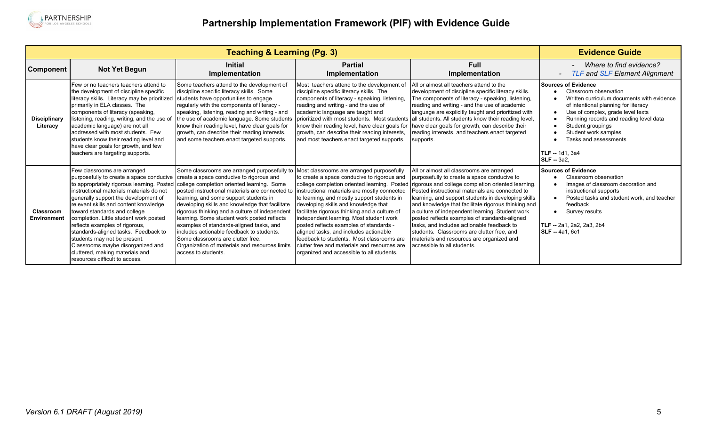

|                                 |                                                                                                                                                                                                                                                                                                                                                                                                                                                                                                                                                  | <b>Evidence Guide</b>                                                                                                                                                                                                                                                                                                                                                                                                                                                                                                                                                                          |                                                                                                                                                                                                                                                                                                                                                                                                                                                                                                                                                            |                                                                                                                                                                                                                                                                                                                                                                                                                                                                                                                                                                                                                                          |                                                                                                                                                                                                                                                                                                                                         |
|---------------------------------|--------------------------------------------------------------------------------------------------------------------------------------------------------------------------------------------------------------------------------------------------------------------------------------------------------------------------------------------------------------------------------------------------------------------------------------------------------------------------------------------------------------------------------------------------|------------------------------------------------------------------------------------------------------------------------------------------------------------------------------------------------------------------------------------------------------------------------------------------------------------------------------------------------------------------------------------------------------------------------------------------------------------------------------------------------------------------------------------------------------------------------------------------------|------------------------------------------------------------------------------------------------------------------------------------------------------------------------------------------------------------------------------------------------------------------------------------------------------------------------------------------------------------------------------------------------------------------------------------------------------------------------------------------------------------------------------------------------------------|------------------------------------------------------------------------------------------------------------------------------------------------------------------------------------------------------------------------------------------------------------------------------------------------------------------------------------------------------------------------------------------------------------------------------------------------------------------------------------------------------------------------------------------------------------------------------------------------------------------------------------------|-----------------------------------------------------------------------------------------------------------------------------------------------------------------------------------------------------------------------------------------------------------------------------------------------------------------------------------------|
| Component                       | <b>Not Yet Begun</b>                                                                                                                                                                                                                                                                                                                                                                                                                                                                                                                             | <b>Initial</b><br>Implementation                                                                                                                                                                                                                                                                                                                                                                                                                                                                                                                                                               | <b>Partial</b><br>Implementation                                                                                                                                                                                                                                                                                                                                                                                                                                                                                                                           | Full<br>Implementation                                                                                                                                                                                                                                                                                                                                                                                                                                                                                                                                                                                                                   | Where to find evidence?<br><b>TLF</b> and <b>SLF</b> Element Alignment                                                                                                                                                                                                                                                                  |
| <b>Disciplinary</b><br>Literacy | l Few or no teachers teachers attend to<br>the development of discipline specific<br>literacy skills. Literacy may be prioritized<br>primarily in ELA classes. The<br>components of literacy (speaking,<br>listening, reading, writing, and the use of<br>academic language) are not all<br>addressed with most students. Few<br>students know their reading level and<br>have clear goals for growth, and few<br>teachers are targeting supports.                                                                                               | Some teachers attend to the development of<br>discipline specific literacy skills. Some<br>students have opportunities to engage<br>regularly with the components of literacy -<br>speaking, listening, reading and writing - and<br>the use of academic language. Some students<br>know their reading level, have clear goals for<br>growth, can describe their reading interests,<br>and some teachers enact targeted supports.                                                                                                                                                              | Most teachers attend to the development of<br>discipline specific literacy skills. The<br>components of literacy - speaking, listening,<br>reading and writing - and the use of<br>academic language are taught and<br>growth, can describe their reading interests,<br>and most teachers enact targeted supports.                                                                                                                                                                                                                                         | All or almost all teachers attend to the<br>development of discipline specific literacy skills.<br>The components of literacy - speaking, listening,<br>reading and writing - and the use of academic<br>language are explicitly taught and prioritized with<br>prioritized with most students. Most students all students. All students know their reading level,<br>know their reading level, have clear goals for   have clear goals for growth, can describe their<br>reading interests, and teachers enact targeted<br>supports.                                                                                                    | Sources of Evidence<br>Classroom observation<br>Written curriculum documents with evidence<br>of intentional planning for literacy<br>Use of complex, grade level texts<br>Running records and reading level data<br>Student groupings<br>Student work samples<br>Tasks and assessments<br><b>TLF</b> -- 1d1. 3a4<br><b>SLF</b> -- 3a2. |
| Classroom<br><b>Environment</b> | Few classrooms are arranged<br>purposefully to create a space conducive<br>to appropriately rigorous learning. Posted<br>Instructional materials materials do not<br>generally support the development of<br>relevant skills and content knowledge<br>toward standards and college<br>completion. Little student work posted<br>reflects examples of rigorous,<br>standards-aligned tasks. Feedback to<br>students may not be present.<br>Classrooms maybe disorganized and<br>cluttered, making materials and<br>resources difficult to access. | Some classrooms are arranged purposefully to<br>create a space conducive to rigorous and<br>college completion oriented learning. Some<br>posted instructional materials are connected to<br>learning, and some support students in<br>developing skills and knowledge that facilitate<br>rigorous thinking and a culture of independent<br>learning. Some student work posted reflects<br>examples of standards-aligned tasks, and<br>includes actionable feedback to students.<br>Some classrooms are clutter free.<br>Organization of materials and resources limits<br>access to students. | Most classrooms are arranged purposefully<br>to create a space conducive to rigorous and<br>instructional materials are mostly connected<br>to learning, and mostly support students in<br>developing skills and knowledge that<br>facilitate rigorous thinking and a culture of<br>independent learning. Most student work<br>posted reflects examples of standards -<br>aligned tasks, and includes actionable<br>feedback to students. Most classrooms are<br>clutter free and materials and resources are<br>organized and accessible to all students. | All or almost all classrooms are arranged<br>purposefully to create a space conducive to<br>college completion oriented learning. Posted rigorous and college completion oriented learning.<br>Posted instructional materials are connected to<br>learning, and support students in developing skills<br>and knowledge that facilitate rigorous thinking and<br>a culture of independent learning. Student work<br>posted reflects examples of standards-aligned<br>tasks, and includes actionable feedback to<br>students. Classrooms are clutter free, and<br>materials and resources are organized and<br>accessible to all students. | Sources of Evidence<br>Classroom observation<br>Images of classroom decoration and<br>instructional supports<br>Posted tasks and student work, and teacher<br>feedback<br>Survey results<br><b>TLF</b> -- 2a1. 2a2. 2a3. 2b4<br><b>SLF</b> - 4a1, 6c1                                                                                   |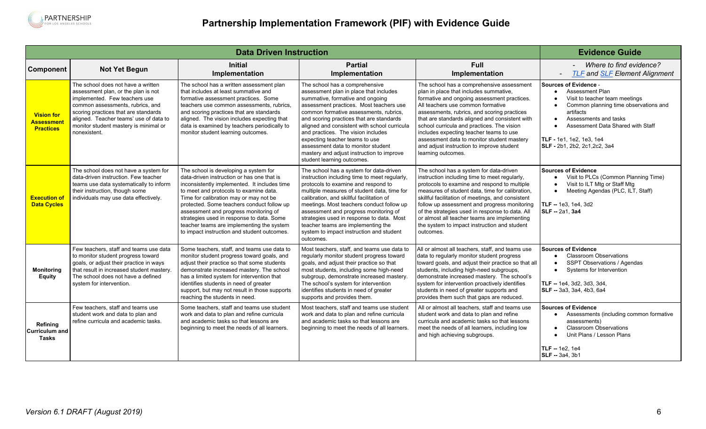

<span id="page-5-0"></span>

|                                                           |                                                                                                                                                                                                                                                                                           | <b>Evidence Guide</b>                                                                                                                                                                                                                                                                                                                                                                                                                                   |                                                                                                                                                                                                                                                                                                                                                                                                                                                                                        |                                                                                                                                                                                                                                                                                                                                                                                                                                                                                    |                                                                                                                                                                                                                                                                                                     |
|-----------------------------------------------------------|-------------------------------------------------------------------------------------------------------------------------------------------------------------------------------------------------------------------------------------------------------------------------------------------|---------------------------------------------------------------------------------------------------------------------------------------------------------------------------------------------------------------------------------------------------------------------------------------------------------------------------------------------------------------------------------------------------------------------------------------------------------|----------------------------------------------------------------------------------------------------------------------------------------------------------------------------------------------------------------------------------------------------------------------------------------------------------------------------------------------------------------------------------------------------------------------------------------------------------------------------------------|------------------------------------------------------------------------------------------------------------------------------------------------------------------------------------------------------------------------------------------------------------------------------------------------------------------------------------------------------------------------------------------------------------------------------------------------------------------------------------|-----------------------------------------------------------------------------------------------------------------------------------------------------------------------------------------------------------------------------------------------------------------------------------------------------|
| Component                                                 | <b>Not Yet Begun</b>                                                                                                                                                                                                                                                                      | <b>Initial</b><br>Implementation                                                                                                                                                                                                                                                                                                                                                                                                                        | <b>Partial</b><br>Implementation                                                                                                                                                                                                                                                                                                                                                                                                                                                       | <b>Full</b><br>Implementation                                                                                                                                                                                                                                                                                                                                                                                                                                                      | Where to find evidence?<br><b>TLF</b> and <b>SLF</b> Element Alignment                                                                                                                                                                                                                              |
| <b>Vision for</b><br><b>Assessmen</b><br><b>Practices</b> | The school does not have a written<br>assessment plan, or the plan is not<br>implemented. Few teachers use<br>common assessments, rubrics, and<br>scoring practices that are standards<br>aligned. Teacher teams' use of data to<br>monitor student mastery is minimal or<br>nonexistent. | The school has a written assessment plan<br>that includes at least summative and<br>formative assessment practices. Some<br>teachers use common assessments, rubrics.<br>and scoring practices that are standards<br>aligned. The vision includes expecting that<br>data is examined by teachers periodically to<br>monitor student learning outcomes.                                                                                                  | The school has a comprehensive<br>assessment plan in place that includes<br>summative, formative and ongoing<br>assessment practices. Most teachers use<br>common formative assessments, rubrics,<br>and scoring practices that are standards<br>aligned and consistent with school curricula<br>and practices. The vision includes<br>expecting teacher teams to use<br>assessment data to monitor student<br>mastery and adjust instruction to improve<br>student learning outcomes. | The school has a comprehensive assessment<br>plan in place that includes summative,<br>formative and ongoing assessment practices.<br>All teachers use common formative<br>assessments, rubrics, and scoring practices<br>that are standards aligned and consistent with<br>school curricula and practices. The vision<br>includes expecting teacher teams to use<br>assessment data to monitor student mastery<br>and adjust instruction to improve student<br>learning outcomes. | <b>Sources of Evidence -</b><br><b>Assessment Plan</b><br>$\bullet$<br>Visit to teacher team meetings<br>Common planning time observations and<br>artifacts<br>Assessments and tasks<br>$\bullet$<br>Assessment Data Shared with Staff<br>TLF - 1e1, 1e2, 1e3, 1e4<br>SLF - 2b1, 2b2, 2c1, 2c2, 3a4 |
| <b>Execution of</b><br><b>Data Cycles</b>                 | The school does not have a system for<br>data-driven instruction. Few teacher<br>teams use data systematically to inform<br>their instruction, though some<br>individuals may use data effectively.                                                                                       | The school is developing a system for<br>data-driven instruction or has one that is<br>inconsistently implemented. It includes time<br>to meet and protocols to examine data.<br>Time for calibration may or may not be<br>protected. Some teachers conduct follow up<br>assessment and progress monitoring of<br>strategies used in response to data. Some<br>teacher teams are implementing the system<br>to impact instruction and student outcomes. | The school has a system for data-driven<br>instruction including time to meet regularly,<br>protocols to examine and respond to<br>multiple measures of student data, time for<br>calibration, and skillful facilitation of<br>meetings. Most teachers conduct follow up<br>assessment and progress monitoring of<br>strategies used in response to data. Most<br>teacher teams are implementing the<br>system to impact instruction and student<br>outcomes.                          | The school has a system for data-driven<br>instruction including time to meet regularly,<br>protocols to examine and respond to multiple<br>measures of student data, time for calibration,<br>skillful facilitation of meetings, and consistent<br>follow up assessment and progress monitoring<br>of the strategies used in response to data. All<br>or almost all teacher teams are implementing<br>the system to impact instruction and student<br>outcomes.                   | <b>Sources of Evidence</b><br>Visit to PLCs (Common Planning Time)<br>$\bullet$<br>Visit to ILT Mtg or Staff Mtg<br>Meeting Agendas (PLC, ILT, Staff)<br>$\bullet$<br>TLF -- 1e3, 1e4, 3d2<br><b>SLF</b> -- 2a1, 3a4                                                                                |
| <b>Monitoring</b><br><b>Equity</b>                        | Few teachers, staff and teams use data<br>to monitor student progress toward<br>goals, or adjust their practice in ways<br>that result in increased student mastery.<br>The school does not have a defined<br>system for intervention.                                                    | Some teachers, staff, and teams use data to<br>monitor student progress toward goals, and<br>adjust their practice so that some students<br>demonstrate increased mastery. The school<br>has a limited system for intervention that<br>identifies students in need of greater<br>support, but may not result in those supports<br>reaching the students in need.                                                                                        | Most teachers, staff, and teams use data to<br>regularly monitor student progress toward<br>goals, and adjust their practice so that<br>most students, including some high-need<br>subgroup, demonstrate increased mastery.<br>The school's system for intervention<br>identifies students in need of greater<br>supports and provides them.                                                                                                                                           | All or almost all teachers, staff, and teams use<br>data to regularly monitor student progress<br>toward goals, and adjust their practice so that all<br>students, including high-need subgroups,<br>demonstrate increased mastery. The school's<br>system for intervention proactively identifies<br>students in need of greater supports and<br>provides them such that gaps are reduced.                                                                                        | <b>Sources of Evidence</b><br><b>Classroom Observations</b><br>$\bullet$<br>SSPT Observations / Agendas<br>Systems for Intervention<br>TLF -- 1e4, 3d2, 3d3, 3d4,<br>SLF -- 3a3, 3a4, 4b3, 6a4                                                                                                      |
| Refining<br><b>Curriculum and</b><br>Tasks                | Few teachers, staff and teams use<br>student work and data to plan and<br>refine curricula and academic tasks.                                                                                                                                                                            | Some teachers, staff and teams use student<br>work and data to plan and refine curricula<br>and academic tasks so that lessons are<br>beginning to meet the needs of all learners.                                                                                                                                                                                                                                                                      | Most teachers, staff and teams use student<br>work and data to plan and refine curricula<br>and academic tasks so that lessons are<br>beginning to meet the needs of all learners.                                                                                                                                                                                                                                                                                                     | All or almost all teachers, staff and teams use<br>student work and data to plan and refine<br>curricula and academic tasks so that lessons<br>meet the needs of all learners, including low<br>and high achieving subgroups.                                                                                                                                                                                                                                                      | <b>Sources of Evidence</b><br>Assessments (including common formative<br>$\bullet$<br>assessments)<br><b>Classroom Observations</b><br>$\bullet$<br>Unit Plans / Lesson Plans<br><b>TLF</b> -- 1e2. 1e4<br>SLF -- 3a4, 3b1                                                                          |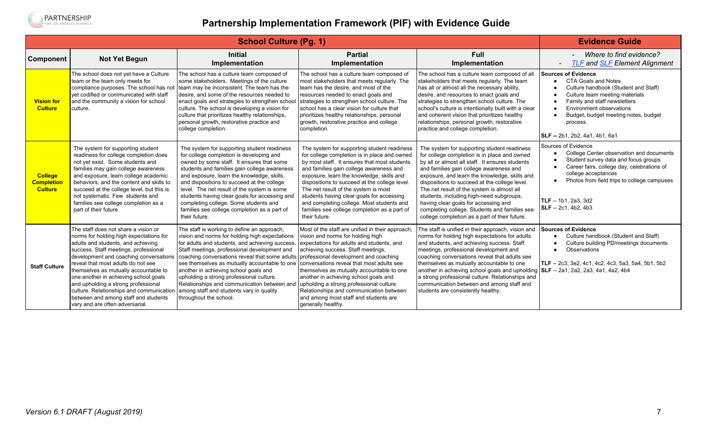<span id="page-6-0"></span>

|                                                       |                                                                                                                                                                                                                                                                                                                                                                                                                                                                                                | <b>Evidence Guide</b>                                                                                                                                                                                                                                                                                                                                                                                                                                                                                                                                                                             |                                                                                                                                                                                                                                                                                                                                                                                                                                                                                         |                                                                                                                                                                                                                                                                                                                                                                                                                                                                                                                                 |                                                                                                                                                                                                                                                                                            |
|-------------------------------------------------------|------------------------------------------------------------------------------------------------------------------------------------------------------------------------------------------------------------------------------------------------------------------------------------------------------------------------------------------------------------------------------------------------------------------------------------------------------------------------------------------------|---------------------------------------------------------------------------------------------------------------------------------------------------------------------------------------------------------------------------------------------------------------------------------------------------------------------------------------------------------------------------------------------------------------------------------------------------------------------------------------------------------------------------------------------------------------------------------------------------|-----------------------------------------------------------------------------------------------------------------------------------------------------------------------------------------------------------------------------------------------------------------------------------------------------------------------------------------------------------------------------------------------------------------------------------------------------------------------------------------|---------------------------------------------------------------------------------------------------------------------------------------------------------------------------------------------------------------------------------------------------------------------------------------------------------------------------------------------------------------------------------------------------------------------------------------------------------------------------------------------------------------------------------|--------------------------------------------------------------------------------------------------------------------------------------------------------------------------------------------------------------------------------------------------------------------------------------------|
| <b>Component</b>                                      | <b>Not Yet Begun</b>                                                                                                                                                                                                                                                                                                                                                                                                                                                                           | <b>Initial</b><br>Implementation                                                                                                                                                                                                                                                                                                                                                                                                                                                                                                                                                                  | <b>Partial</b><br>Implementation                                                                                                                                                                                                                                                                                                                                                                                                                                                        | <b>Full</b><br>Implementation                                                                                                                                                                                                                                                                                                                                                                                                                                                                                                   | Where to find evidence?<br><b>TLF and SLF Element Alignment</b>                                                                                                                                                                                                                            |
| <b>Vision for</b><br><b>Culture</b>                   | The school does not yet have a Culture<br>team or the team only meets for<br>compliance purposes. The school has not<br>vet codified or communicated with staff<br>and the community a vision for school<br>culture.                                                                                                                                                                                                                                                                           | The school has a culture team composed of<br>some stakeholders. Meetings of the culture<br>team may be inconsistent. The team has the<br>desire, and some of the resources needed to<br>enact goals and strategies to strengthen school<br>culture. The school is developing a vision for<br>culture that prioritizes healthy relationships,<br>personal growth, restorative practice and<br>college completion.                                                                                                                                                                                  | The school has a culture team composed of<br>most stakeholders that meets regularly. The<br>team has the desire, and most of the<br>resources needed to enact goals and<br>strategies to strengthen school culture. The<br>school has a clear vision for culture that<br>prioritizes healthy relationships, personal<br>growth, restorative practice and college<br>completion.                                                                                                         | The school has a culture team composed of all<br>stakeholders that meets regularly. The team<br>has all or almost all the necessary ability,<br>desire, and resources to enact goals and<br>strategies to strengthen school culture. The<br>school's culture is intentionally built with a clear<br>and coherent vision that prioritizes healthy<br>relationships, personal growth, restorative<br>practice and college completion.                                                                                             | <b>Sources of Evidence</b><br><b>CTA Goals and Notes</b><br>Culture handbook (Student and Staff)<br>Culture team meeting materials<br>Family and staff newsletters<br>Environment observations<br>Budget, budget meeting notes, budget<br>process<br><b>SLF</b> -- 2b1. 2b2. 4a1. 4b1. 6a1 |
| <b>College</b><br><b>Completion</b><br><b>Culture</b> | The system for supporting student<br>readiness for college completion does<br>not yet exist. Some students and<br>families may gain college awareness<br>and exposure, learn college academic<br>behaviors, and the content and skills to<br>succeed at the college level, but this is<br>not systematic. Few students and<br>families see college completion as a<br>part of their future.                                                                                                    | The system for supporting student readiness<br>for college completion is developing and<br>owned by some staff. It ensures that some<br>students and families gain college awareness<br>and exposure, learn the knowledge, skills,<br>and dispositions to succeed at the college<br>level. The net result of the system is some<br>students having clear goals for accessing and<br>completing college. Some students and<br>families see college completion as a part of<br>their future.                                                                                                        | The system for supporting student readiness<br>for college completion is in place and owned<br>by most staff. It ensures that most students<br>and families gain college awareness and<br>exposure, learn the knowledge, skills and<br>dispositions to succeed at the college level.<br>The net result of the system is most<br>students having clear goals for accessing<br>and completing college. Most students and<br>families see college completion as a part of<br>their future. | The system for supporting student readiness<br>for college completion is in place and owned<br>by all or almost all staff. It ensures students<br>and families gain college awareness and<br>exposure, and learn the knowledge, skills and<br>dispositions to succeed at the college level.<br>The net result of the system is almost all<br>students, including high-need subgroups,<br>having clear goals for accessing and<br>completing college. Students and families see<br>college completion as a part of their future. | Sources of Evidence<br>College Center observation and documents<br>Student survey data and focus groups<br>Career fairs, college day, celebrations of<br>college acceptances<br>Photos from field trips to college campuses<br>$\bullet$<br>TLF -- 1b1. 2a3. 3d2<br>SLF -- 2c1, 4b2, 4b3   |
| <b>Staff Culture</b>                                  | The staff does not share a vision or<br>norms for holding high expectations for<br>adults and students, and achieving<br>success. Staff meetings, professional<br>development and coaching conversations<br>reveal that most adults do not see<br>themselves as mutually accountable to<br>one another in achieving school goals<br>and upholding a strong professional<br>culture. Relationships and communication<br>between and among staff and students<br>vary and are often adversarial. | The staff is working to define an approach,<br>vision and norms for holding high expectations<br>for adults and students, and achieving success. expectations for adults and students, and<br>Staff meetings, professional development and<br>coaching conversations reveal that some adults<br>see themselves as mutually accountable to one conversations reveal that most adults see<br>another in achieving school goals and<br>upholding a strong professional culture.<br>Relationships and communication between and<br>among staff and students vary in quality<br>throughout the school. | Most of the staff are unified in their approach,<br>vision and norms for holding high<br>achieving success. Staff meetings,<br>professional development and coaching<br>themselves as mutually accountable to one<br>another in achieving school goals and<br>upholding a strong professional culture.<br>Relationships and communication between<br>and among most staff and students are<br>generally healthy.                                                                        | The staff is unified in their approach, vision and<br>norms for holding high expectations for adults<br>and students, and achieving success. Staff<br>meetings, professional development and<br>coaching conversations reveal that adults see<br>themselves as mutually accountable to one<br>another in achieving school goals and upholding SLF -- 2a1, 2a2, 2a3, 4a1, 4a2, 4b4<br>a strong professional culture. Relationships and<br>communication between and among staff and<br>students are consistently healthy.        | <b>Sources of Evidence</b><br>Culture handbook (Student and Staff)<br>Culture building PD/meetings documents<br>Observations<br>$\bullet$<br>TLF -- 2c3, 3e2, 4c1, 4c2, 4c3, 5a3, 5a4, 5b1, 5b2                                                                                            |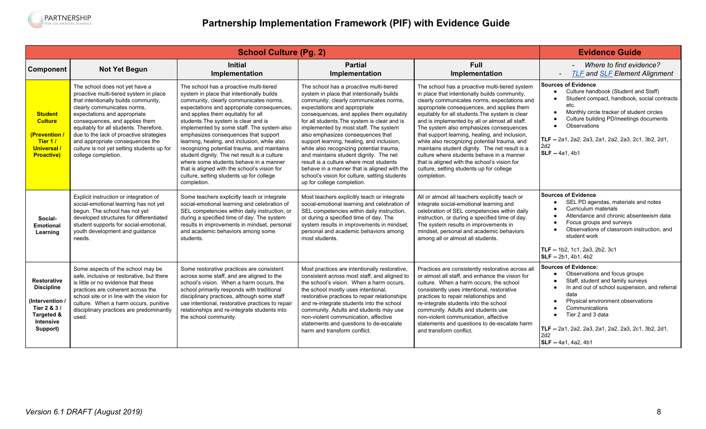

|                                                                                                                  | <b>Evidence Guide</b>                                                                                                                                                                                                                                                                                                                                                                                           |                                                                                                                                                                                                                                                                                                                                                                                                                                                                                                                                                                                                                                                      |                                                                                                                                                                                                                                                                                                                                                                                                                                                                                                                                                                                                                                                      |                                                                                                                                                                                                                                                                                                                                                                                                                                                                                                                                                                                                                                                           |                                                                                                                                                                                                                                                                                                                                                               |
|------------------------------------------------------------------------------------------------------------------|-----------------------------------------------------------------------------------------------------------------------------------------------------------------------------------------------------------------------------------------------------------------------------------------------------------------------------------------------------------------------------------------------------------------|------------------------------------------------------------------------------------------------------------------------------------------------------------------------------------------------------------------------------------------------------------------------------------------------------------------------------------------------------------------------------------------------------------------------------------------------------------------------------------------------------------------------------------------------------------------------------------------------------------------------------------------------------|------------------------------------------------------------------------------------------------------------------------------------------------------------------------------------------------------------------------------------------------------------------------------------------------------------------------------------------------------------------------------------------------------------------------------------------------------------------------------------------------------------------------------------------------------------------------------------------------------------------------------------------------------|-----------------------------------------------------------------------------------------------------------------------------------------------------------------------------------------------------------------------------------------------------------------------------------------------------------------------------------------------------------------------------------------------------------------------------------------------------------------------------------------------------------------------------------------------------------------------------------------------------------------------------------------------------------|---------------------------------------------------------------------------------------------------------------------------------------------------------------------------------------------------------------------------------------------------------------------------------------------------------------------------------------------------------------|
| Component                                                                                                        | <b>Not Yet Begun</b>                                                                                                                                                                                                                                                                                                                                                                                            | <b>Initial</b><br>Implementation                                                                                                                                                                                                                                                                                                                                                                                                                                                                                                                                                                                                                     | <b>Partial</b><br>Implementation                                                                                                                                                                                                                                                                                                                                                                                                                                                                                                                                                                                                                     | <b>Full</b><br>Implementation                                                                                                                                                                                                                                                                                                                                                                                                                                                                                                                                                                                                                             | Where to find evidence?<br><b>TLF and SLF Element Alignment</b>                                                                                                                                                                                                                                                                                               |
| <b>Student</b><br><b>Culture</b><br>(Prevention<br>Tier 1/<br><b>Universal</b> /<br><b>Proactive)</b>            | The school does not yet have a<br>proactive multi-tiered system in place<br>that intentionally builds community,<br>clearly communicates norms.<br>expectations and appropriate<br>consequences, and applies them<br>equitably for all students. Therefore,<br>due to the lack of proactive strategies<br>and appropriate consequences the<br>culture is not yet setting students up for<br>college completion. | The school has a proactive multi-tiered<br>system in place that intentionally builds<br>community, clearly communicates norms,<br>expectations and appropriate consequences,<br>and applies them equitably for all<br>students. The system is clear and is<br>implemented by some staff. The system also<br>emphasizes consequences that support<br>learning, healing, and inclusion, while also<br>recognizing potential trauma, and maintains<br>student dignity. The net result is a culture<br>where some students behave in a manner<br>that is aligned with the school's vision for<br>culture, setting students up for college<br>completion. | The school has a proactive multi-tiered<br>system in place that intentionally builds<br>community, clearly communicates norms,<br>expectations and appropriate<br>consequences, and applies them equitably<br>for all students. The system is clear and is<br>implemented by most staff. The system<br>also emphasizes consequences that<br>support learning, healing, and inclusion,<br>while also recognizing potential trauma,<br>and maintains student dignity. The net<br>result is a culture where most students<br>behave in a manner that is aligned with the<br>school's vision for culture, setting students<br>up for college completion. | The school has a proactive multi-tiered system<br>in place that intentionally builds community,<br>clearly communicates norms, expectations and<br>appropriate consequences, and applies them<br>equitably for all students. The system is clear<br>and is implemented by all or almost all staff.<br>The system also emphasizes consequences<br>that support learning, healing, and inclusion,<br>while also recognizing potential trauma, and<br>maintains student dignity. The net result is a<br>culture where students behave in a manner<br>that is aligned with the school's vision for<br>culture, setting students up for college<br>completion. | Sources of Evidence<br>Culture handbook (Student and Staff)<br>Student compact, handbook, social contracts<br>etc.<br>Monthly circle tracker of student circles<br>Culture building PD/meetings documents<br>Observations<br>$\bullet$<br>TLF -- 2a1, 2a2, 2a3, 2a1, 2a2, 2a3, 2c1, 3b2, 2d1,<br>2d2<br><b>SLF</b> -- 4a1, 4b1                                |
| Social-<br>Emotional<br>Learning                                                                                 | Explicit instruction or integration of<br>social-emotional learning has not yet<br>begun. The school has not yet<br>developed structures for differentiated<br>student supports for social-emotional,<br>youth development and guidance<br>needs.                                                                                                                                                               | Some teachers explicitly teach or integrate<br>social-emotional learning and celebration of<br>SEL competencies within daily instruction, or<br>during a specified time of day. The system<br>results in improvements in mindset, personal<br>and academic behaviors among some<br>students.                                                                                                                                                                                                                                                                                                                                                         | Most teachers explicitly teach or integrate<br>social-emotional learning and celebration of<br>SEL competencies within daily instruction,<br>or during a specified time of day. The<br>system results in improvements in mindset,<br>personal and academic behaviors among<br>most students.                                                                                                                                                                                                                                                                                                                                                         | All or almost all teachers explicitly teach or<br>integrate social-emotional learning and<br>celebration of SEL competencies within daily<br>instruction, or during a specified time of day.<br>The system results in improvements in<br>mindset, personal and academic behaviors<br>among all or almost all students.                                                                                                                                                                                                                                                                                                                                    | <b>Sources of Evidence</b><br>SEL PD agendas, materials and notes<br>Curriculum materials<br>Attendance and chronic absenteeism data<br>Focus groups and surveys<br>Observations of classroom instruction, and<br>$\bullet$<br>student work<br>TLF -- 1b2, 1c1, 2a3, 2b2, 3c1<br>SLF -- 2b1, 4b1, 4b2                                                         |
| <b>Restorative</b><br><b>Discipline</b><br>(Intervention)<br>Tier 2 & 3 /<br>Targeted &<br>Intensive<br>Support) | Some aspects of the school may be<br>safe, inclusive or restorative, but there<br>is little or no evidence that these<br>practices are coherent across the<br>school site or in line with the vision for<br>culture. When a harm occurs, punitive<br>disciplinary practices are predominantly<br>used.                                                                                                          | Some restorative practices are consistent<br>across some staff, and are aligned to the<br>school's vision. When a harm occurs, the<br>school primarily responds with traditional<br>disciplinary practices, although some staff<br>use intentional, restorative practices to repair<br>relationships and re-integrate students into<br>the school community.                                                                                                                                                                                                                                                                                         | Most practices are intentionally restorative,<br>consistent across most staff, and aligned to<br>the school's vision. When a harm occurs,<br>the school mostly uses intentional,<br>restorative practices to repair relationships<br>and re-integrate students into the school<br>community. Adults and students may use<br>non-violent communication, affective<br>statements and questions to de-escalate<br>harm and transform conflict.                                                                                                                                                                                                          | Practices are consistently restorative across all<br>or almost all staff, and enhance the vision for<br>culture. When a harm occurs, the school<br>consistently uses intentional, restorative<br>practices to repair relationships and<br>re-integrate students into the school<br>community. Adults and students use<br>non-violent communication, affective<br>statements and questions to de-escalate harm<br>and transform conflict.                                                                                                                                                                                                                  | Sources of Evidence:<br>Observations and focus groups<br>Staff, student and family surveys<br>In and out of school suspension, and referral<br>$\bullet$<br>data<br>Physical environment observations<br>Communications<br>Tier 2 and 3 data<br>$\bullet$<br><b>TLF --</b> 2a1, 2a2, 2a3, 2a1, 2a2, 2a3, 2c1, 3b2, 2d1,<br>2d2<br><b>SLF</b> -- 4a1, 4a2, 4b1 |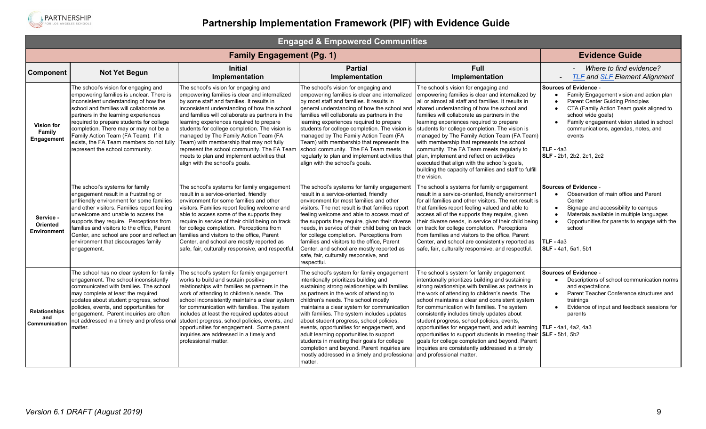

<span id="page-8-0"></span>

| <b>Engaged &amp; Empowered Communities</b>          |                                                                                                                                                                                                                                                                                                                                                                                                                         |                                                                                                                                                                                                                                                                                                                                                                                                                                                                                                                                                           |                                                                                                                                                                                                                                                                                                                                                                                                                                                                                                                                                                                                                  |                                                                                                                                                                                                                                                                                                                                                                                                                                                                                                                                                                                                                                                                                |                                                                                                                                                                                                                                                                                                                                                                |  |  |
|-----------------------------------------------------|-------------------------------------------------------------------------------------------------------------------------------------------------------------------------------------------------------------------------------------------------------------------------------------------------------------------------------------------------------------------------------------------------------------------------|-----------------------------------------------------------------------------------------------------------------------------------------------------------------------------------------------------------------------------------------------------------------------------------------------------------------------------------------------------------------------------------------------------------------------------------------------------------------------------------------------------------------------------------------------------------|------------------------------------------------------------------------------------------------------------------------------------------------------------------------------------------------------------------------------------------------------------------------------------------------------------------------------------------------------------------------------------------------------------------------------------------------------------------------------------------------------------------------------------------------------------------------------------------------------------------|--------------------------------------------------------------------------------------------------------------------------------------------------------------------------------------------------------------------------------------------------------------------------------------------------------------------------------------------------------------------------------------------------------------------------------------------------------------------------------------------------------------------------------------------------------------------------------------------------------------------------------------------------------------------------------|----------------------------------------------------------------------------------------------------------------------------------------------------------------------------------------------------------------------------------------------------------------------------------------------------------------------------------------------------------------|--|--|
|                                                     |                                                                                                                                                                                                                                                                                                                                                                                                                         | <b>Family Engagement (Pg. 1)</b>                                                                                                                                                                                                                                                                                                                                                                                                                                                                                                                          |                                                                                                                                                                                                                                                                                                                                                                                                                                                                                                                                                                                                                  |                                                                                                                                                                                                                                                                                                                                                                                                                                                                                                                                                                                                                                                                                | <b>Evidence Guide</b>                                                                                                                                                                                                                                                                                                                                          |  |  |
| <b>Component</b>                                    | <b>Not Yet Begun</b>                                                                                                                                                                                                                                                                                                                                                                                                    | <b>Initial</b><br>Implementation                                                                                                                                                                                                                                                                                                                                                                                                                                                                                                                          | <b>Partial</b><br>Implementation                                                                                                                                                                                                                                                                                                                                                                                                                                                                                                                                                                                 | <b>Full</b><br>Implementation                                                                                                                                                                                                                                                                                                                                                                                                                                                                                                                                                                                                                                                  | Where to find evidence?<br><b>TLF and SLF Element Alignment</b><br>$\overline{\phantom{a}}$                                                                                                                                                                                                                                                                    |  |  |
| <b>Vision for</b><br>Family<br>Engagement           | The school's vision for engaging and<br>empowering families is unclear. There is<br>inconsistent understanding of how the<br>school and families will collaborate as<br>partners in the learning experiences<br>required to prepare students for college<br>completion. There may or may not be a<br>Family Action Team (FA Team). If it<br>exists, the FA Team members do not fully<br>represent the school community. | The school's vision for engaging and<br>empowering families is clear and internalized<br>by some staff and families. It results in<br>inconsistent understanding of how the school<br>and families will collaborate as partners in the<br>learning experiences required to prepare<br>students for college completion. The vision is<br>managed by The Family Action Team (FA<br>Team) with membership that may not fully<br>represent the school community. The FA Team<br>meets to plan and implement activities that<br>align with the school's goals. | The school's vision for engaging and<br>empowering families is clear and internalized<br>by most staff and families. It results in<br>general understanding of how the school and<br>families will collaborate as partners in the<br>learning experiences required to prepare<br>students for college completion. The vision is<br>managed by The Family Action Team (FA<br>Team) with membership that represents the<br>school community. The FA Team meets<br>regularly to plan and implement activities that<br>align with the school's goals.                                                                | The school's vision for engaging and<br>empowering families is clear and internalized by<br>all or almost all staff and families. It results in<br>shared understanding of how the school and<br>families will collaborate as partners in the<br>learning experiences required to prepare<br>students for college completion. The vision is<br>managed by The Family Action Team (FA Team)<br>with membership that represents the school<br>community. The FA Team meets regularly to<br>plan, implement and reflect on activities<br>executed that align with the school's goals,<br>building the capacity of families and staff to fulfill<br>the vision.                    | <b>Sources of Evidence -</b><br>Family Engagement vision and action plan<br>$\bullet$<br>Parent Center Guiding Principles<br>CTA (Family Action Team goals aligned to<br>$\bullet$<br>school wide goals)<br>Family engagement vision stated in school<br>$\bullet$<br>communications, agendas, notes, and<br>events<br>$TLF - 4a3$<br>SLF - 2b1, 2b2, 2c1, 2c2 |  |  |
| Service -<br><b>Oriented</b><br><b>Environment</b>  | The school's systems for family<br>engagement result in a frustrating or<br>unfriendly environment for some families<br>and other visitors. Families report feeling<br>unwelcome and unable to access the<br>supports they require. Perceptions from<br>families and visitors to the office. Parent<br>Center, and school are poor and reflect an<br>environment that discourages family<br>engagement.                 | The school's systems for family engagement<br>result in a service-oriented, friendly<br>environment for some families and other<br>visitors. Families report feeling welcome and<br>able to access some of the supports they<br>require in service of their child being on track<br>for college completion. Perceptions from<br>families and visitors to the office, Parent<br>Center, and school are mostly reported as<br>safe, fair, culturally responsive, and respectful.                                                                            | The school's systems for family engagement<br>result in a service-oriented, friendly<br>environment for most families and other<br>visitors. The net result is that families report<br>feeling welcome and able to access most of<br>the supports they require, given their diverse<br>needs, in service of their child being on track<br>for college completion. Perceptions from<br>families and visitors to the office, Parent<br>Center, and school are mostly reported as<br>safe, fair, culturally responsive, and<br>respectful.                                                                          | The school's systems for family engagement<br>result in a service-oriented, friendly environment<br>for all families and other visitors. The net result is<br>that families report feeling valued and able to<br>access all of the supports they require, given<br>their diverse needs, in service of their child being<br>on track for college completion. Perceptions<br>from families and visitors to the office, Parent<br>Center, and school are consistently reported as<br>safe, fair, culturally responsive, and respectful.                                                                                                                                           | <b>Sources of Evidence -</b><br>Observation of main office and Parent<br>$\bullet$<br>Center<br>Signage and accessibility to campus<br>$\bullet$<br>Materials available in multiple languages<br>Opportunities for parents to engage with the<br>school<br><b>TLF</b> - 4a3<br>SLF - 4a1, 5a1, 5b1                                                             |  |  |
| <b>Relationships</b><br>and<br><b>Communication</b> | The school has no clear system for family<br>engagement. The school inconsistently<br>communicated with families. The school<br>may complete at least the required<br>updates about student progress, school<br>policies, events, and opportunities for<br>engagement. Parent inquiries are often<br>not addressed in a timely and professional<br>matter.                                                              | The school's system for family engagement<br>works to build and sustain positive<br>relationships with families as partners in the<br>work of attending to children's needs. The<br>school inconsistently maintains a clear system<br>for communication with families. The system<br>includes at least the required updates about<br>student progress, school policies, events, and<br>opportunities for engagement. Some parent<br>inquiries are addressed in a timely and<br>professional matter.                                                       | The school's system for family engagement<br>intentionally prioritizes building and<br>sustaining strong relationships with families<br>as partners in the work of attending to<br>children's needs. The school mostly<br>maintains a clear system for communication<br>with families. The system includes updates<br>about student progress, school policies,<br>events, opportunities for engagement, and<br>adult learning opportunities to support<br>students in meeting their goals for college<br>completion and beyond. Parent inquiries are<br>mostly addressed in a timely and professional<br>matter. | The school's system for family engagement<br>intentionally prioritizes building and sustaining<br>strong relationships with families as partners in<br>the work of attending to children's needs. The<br>school maintains a clear and consistent system<br>for communication with families. The system<br>consistently includes timely updates about<br>student progress, school policies, events,<br>opportunities for engagement, and adult learning $\textsf{TLF}$ - 4a1, 4a2, 4a3<br>opportunities to support students in meeting their<br>goals for college completion and beyond. Parent<br>inquiries are consistently addressed in a timely<br>and professional matter. | <b>Sources of Evidence -</b><br>Descriptions of school communication norms<br>$\bullet$<br>and expectations<br>Parent Teacher Conference structures and<br>$\bullet$<br>trainings<br>Evidence of input and feedback sessions for<br>$\bullet$<br>parents<br>$SLF - 5b1$ , $5b2$                                                                                |  |  |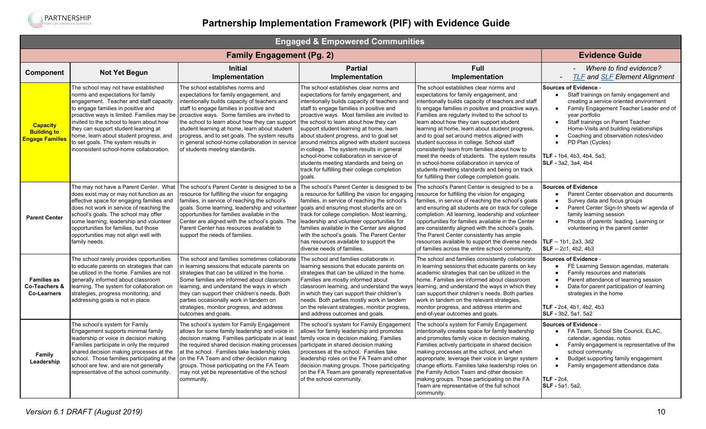

|                                                                      | <b>Engaged &amp; Empowered Communities</b>                                                                                                                                                                                                                                                                                                                                                                              |                                                                                                                                                                                                                                                                                                                                                                                                                                                                     |                                                                                                                                                                                                                                                                                                                                                                                                                                                                                                                                                                                                             |                                                                                                                                                                                                                                                                                                                                                                                                                                                                                                                                                                                                                                                                                                 |                                                                                                                                                                                                                                                                                                                                                                                                                                                  |  |  |
|----------------------------------------------------------------------|-------------------------------------------------------------------------------------------------------------------------------------------------------------------------------------------------------------------------------------------------------------------------------------------------------------------------------------------------------------------------------------------------------------------------|---------------------------------------------------------------------------------------------------------------------------------------------------------------------------------------------------------------------------------------------------------------------------------------------------------------------------------------------------------------------------------------------------------------------------------------------------------------------|-------------------------------------------------------------------------------------------------------------------------------------------------------------------------------------------------------------------------------------------------------------------------------------------------------------------------------------------------------------------------------------------------------------------------------------------------------------------------------------------------------------------------------------------------------------------------------------------------------------|-------------------------------------------------------------------------------------------------------------------------------------------------------------------------------------------------------------------------------------------------------------------------------------------------------------------------------------------------------------------------------------------------------------------------------------------------------------------------------------------------------------------------------------------------------------------------------------------------------------------------------------------------------------------------------------------------|--------------------------------------------------------------------------------------------------------------------------------------------------------------------------------------------------------------------------------------------------------------------------------------------------------------------------------------------------------------------------------------------------------------------------------------------------|--|--|
|                                                                      |                                                                                                                                                                                                                                                                                                                                                                                                                         | <b>Family Engagement (Pg. 2)</b>                                                                                                                                                                                                                                                                                                                                                                                                                                    |                                                                                                                                                                                                                                                                                                                                                                                                                                                                                                                                                                                                             |                                                                                                                                                                                                                                                                                                                                                                                                                                                                                                                                                                                                                                                                                                 | <b>Evidence Guide</b>                                                                                                                                                                                                                                                                                                                                                                                                                            |  |  |
| <b>Component</b>                                                     | <b>Not Yet Begun</b>                                                                                                                                                                                                                                                                                                                                                                                                    | <b>Initial</b><br>Implementation                                                                                                                                                                                                                                                                                                                                                                                                                                    | <b>Partial</b><br>Implementation                                                                                                                                                                                                                                                                                                                                                                                                                                                                                                                                                                            | <b>Full</b><br>Implementation                                                                                                                                                                                                                                                                                                                                                                                                                                                                                                                                                                                                                                                                   | Where to find evidence?<br><b>TLF</b> and <b>SLF</b> Element Alignment<br>$\sim$ 10 $\pm$                                                                                                                                                                                                                                                                                                                                                        |  |  |
| <b>Capacity</b><br><b>Building to</b><br><b>Engage Families</b>      | The school may not have established<br>norms and expectations for family<br>engagement. Teacher and staff capacity<br>to engage families in positive and<br>proactive ways is limited. Families may be<br>invited to the school to learn about how<br>they can support student learning at<br>home, learn about student progress, and<br>to set goals. The system results in<br>inconsistent school-home collaboration. | The school establishes norms and<br>expectations for family engagement, and<br>intentionally builds capacity of teachers and<br>staff to engage families in positive and<br>proactive ways. Some families are invited to<br>the school to learn about how they can support<br>student learning at home, learn about student<br>progress, and to set goals. The system results<br>in general school-home collaboration in service<br>of students meeting standards.  | The school establishes clear norms and<br>expectations for family engagement, and<br>intentionally builds capacity of teachers and<br>staff to engage families in positive and<br>proactive ways. Most families are invited to<br>the school to learn about how they can<br>support student learning at home, learn<br>about student progress, and to goal set<br>around metrics aligned with student success<br>in college. The system results in general<br>school-home collaboration in service of<br>students meeting standards and being on<br>track for fulfilling their college completion<br>goals. | The school establishes clear norms and<br>expectations for family engagement, and<br>intentionally builds capacity of teachers and staff<br>to engage families in positive and proactive ways.<br>Families are regularly invited to the school to<br>learn about how they can support student<br>learning at home, learn about student progress,<br>and to goal set around metrics aligned with<br>student success in college. School staff<br>consistently learn from families about how to<br>meet the needs of students. The system results<br>in school-home collaboration in service of<br>students meeting standards and being on track<br>for fulfilling their college completion goals. | <b>Sources of Evidence -</b><br>Staff trainings on family engagement and<br>$\bullet$<br>creating a service oriented environment<br>Family Engagement Teacher Leader end of<br>$\bullet$<br>vear portfolio<br>Staff trainings on Parent Teacher<br>$\bullet$<br>Home-Visits and building relationships<br>Coaching and observation notes/video<br>$\bullet$<br>PD Plan (Cycles)<br>$\bullet$<br>TLF - 1b4, 4b3, 4b4, 5a3,<br>SLF - 3a2, 3a4, 4b4 |  |  |
| <b>Parent Center</b>                                                 | does exist may or may not function as an<br>effective space for engaging families and<br>does not work in service of reaching the<br>school's goals. The school may offer<br>some learning, leadership and volunteer<br>opportunities for families, but those<br>opportunities may not align well with<br>family needs.                                                                                                 | The may not have a Parent Center. What The school's Parent Center is designed to be a<br>resource for fulfilling the vision for engaging<br>families, in service of reaching the school's<br>goals. Some learning, leadership and volunteer goals and ensuring most students are on<br>opportunities for families available in the<br>Center are aligned with the school's goals. The<br>Parent Center has resources available to<br>support the needs of families. | The school's Parent Center is designed to be<br>a resource for fulfilling the vision for engaging<br>families, in service of reaching the school's<br>track for college completion. Most learning,<br>leadership and volunteer opportunities for<br>families available in the Center are aligned<br>with the school's goals. The Parent Center<br>has resources available to support the<br>diverse needs of families.                                                                                                                                                                                      | The school's Parent Center is designed to be a<br>resource for fulfilling the vision for engaging<br>families, in service of reaching the school's goals<br>and ensuring all students are on track for college<br>completion. All learning, leadership and volunteer<br>opportunities for families available in the Center<br>are consistently aligned with the school's goals.<br>The Parent Center consistently has ample<br>resources available to support the diverse needs<br>of families across the entire school community.                                                                                                                                                              | <b>Sources of Evidence</b><br>Parent Center observation and documents<br>$\bullet$<br>Survey data and focus groups<br>$\bullet$<br>Parent Center Sign-In sheets w/ agenda of<br>$\bullet$<br>family learning session<br>Photos of parents' leading. Learning or<br>$\bullet$<br>volunteering in the parent center<br>$ITLF - 1b1.2a3.3d2$<br>SLF -- 2c1, 4b2, 4b3                                                                                |  |  |
| <b>Families as</b><br><b>Co-Teachers &amp;</b><br><b>Co-Learners</b> | The school rarely provides opportunities<br>to educate parents on strategies that can<br>be utilized in the home. Families are not<br>generally informed about classroom<br>learning. The system for collaboration on<br>strategies, progress monitoring, and<br>addressing goals is not in place.                                                                                                                      | The school and families sometimes collaborate<br>in learning sessions that educate parents on<br>strategies that can be utilized in the home.<br>Some families are informed about classroom<br>learning, and understand the ways in which<br>they can support their children's needs. Both<br>parties occasionally work in tandem on<br>strategies, monitor progress, and address<br>outcomes and goals.                                                            | The school and families collaborate in<br>learning sessions that educate parents on<br>strategies that can be utilized in the home.<br>Families are mostly informed about<br>classroom learning, and understand the ways<br>in which they can support their children's<br>needs. Both parties mostly work in tandem<br>on the relevant strategies, monitor progress,<br>and address outcomes and goals.                                                                                                                                                                                                     | The school and families consistently collaborate<br>in learning sessions that educate parents on key<br>academic strategies that can be utilized in the<br>home. Families are informed about classroom<br>learning, and understand the ways in which they<br>can support their children's needs. Both parties<br>work in tandem on the relevant strategies.<br>monitor progress, and address interim and<br>end-of-year outcomes and goals.                                                                                                                                                                                                                                                     | <b>Sources of Evidence -</b><br>FE Learning Session agendas, materials<br>$\bullet$<br>Family resources and materials<br>$\bullet$<br>Parent attendance of learning session<br>$\bullet$<br>Data for parent participation of learning<br>$\bullet$<br>strategies in the home<br>TLF - 2c4. 4b1. 4b2. 4b3<br>SLF - 3b2, 5a1, 5a2                                                                                                                  |  |  |
| Family<br>Leadership                                                 | The school's system for Family<br>Engagement supports minimal family<br>leadership or voice in decision making.<br>Families participate in only the required<br>shared decision making processes at the<br>school. Those families participating at the<br>school are few, and are not generally<br>representative of the school community.                                                                              | The school's system for Family Engagement<br>allows for some family leadership and voice in<br>decision making. Families participate in at least<br>the required shared decision making processes<br>at the school. Families take leadership roles<br>on the FA Team and other decision making<br>groups. Those participating on the FA Team<br>may not yet be representative of the school<br>community.                                                           | The school's system for Family Engagement<br>allows for family leadership and promotes<br>family voice in decision making. Families<br>participate in shared decision making<br>processes at the school. Families take<br>leadership roles on the FA Team and other<br>decision making groups. Those participating<br>on the FA Team are generally representative<br>of the school community.                                                                                                                                                                                                               | The school's system for Family Engagement<br>intentionally creates space for family leadership<br>and promotes family voice in decision making.<br>Families actively participate in shared decision<br>making processes at the school, and when<br>appropriate, leverage their voice in larger system<br>change efforts. Families take leadership roles on<br>the Family Action Team and other decision<br>making groups. Those participating on the FA<br>Team are representative of the full school<br>community.                                                                                                                                                                             | <b>Sources of Evidence -</b><br>• FA Team, School Site Council, ELAC,<br>calendar, agendas, notes<br>Family engagement is representative of the<br>$\bullet$<br>school community<br>Budget supporting family engagement<br>$\bullet$<br>Family engagement attendance data<br>$\bullet$<br>$TLF - 2c4$<br><b>SLF</b> - 5a1, 5a2,                                                                                                                  |  |  |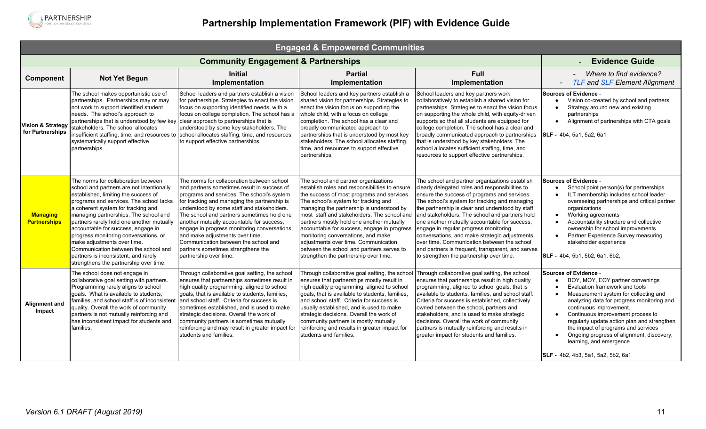<span id="page-10-0"></span>

| <b>Engaged &amp; Empowered Communities</b> |                                                                                                                                                                                                                                                                                                                                                                                                                                                                                                                                         |                                                                                                                                                                                                                                                                                                                                                                                                                                                                                                                             |                                                                                                                                                                                                                                                                                                                                                                                                                                                                                                                                          |                                                                                                                                                                                                                                                                                                                                                                                                                                                                                                                                                                                                     |                                                                                                                                                                                                                                                                                                                                                                                                                                                                                               |  |  |
|--------------------------------------------|-----------------------------------------------------------------------------------------------------------------------------------------------------------------------------------------------------------------------------------------------------------------------------------------------------------------------------------------------------------------------------------------------------------------------------------------------------------------------------------------------------------------------------------------|-----------------------------------------------------------------------------------------------------------------------------------------------------------------------------------------------------------------------------------------------------------------------------------------------------------------------------------------------------------------------------------------------------------------------------------------------------------------------------------------------------------------------------|------------------------------------------------------------------------------------------------------------------------------------------------------------------------------------------------------------------------------------------------------------------------------------------------------------------------------------------------------------------------------------------------------------------------------------------------------------------------------------------------------------------------------------------|-----------------------------------------------------------------------------------------------------------------------------------------------------------------------------------------------------------------------------------------------------------------------------------------------------------------------------------------------------------------------------------------------------------------------------------------------------------------------------------------------------------------------------------------------------------------------------------------------------|-----------------------------------------------------------------------------------------------------------------------------------------------------------------------------------------------------------------------------------------------------------------------------------------------------------------------------------------------------------------------------------------------------------------------------------------------------------------------------------------------|--|--|
|                                            |                                                                                                                                                                                                                                                                                                                                                                                                                                                                                                                                         | <b>Community Engagement &amp; Partnerships</b>                                                                                                                                                                                                                                                                                                                                                                                                                                                                              |                                                                                                                                                                                                                                                                                                                                                                                                                                                                                                                                          |                                                                                                                                                                                                                                                                                                                                                                                                                                                                                                                                                                                                     | <b>Evidence Guide</b>                                                                                                                                                                                                                                                                                                                                                                                                                                                                         |  |  |
| <b>Component</b>                           | <b>Not Yet Begun</b>                                                                                                                                                                                                                                                                                                                                                                                                                                                                                                                    | <b>Initial</b><br>Implementation                                                                                                                                                                                                                                                                                                                                                                                                                                                                                            | <b>Partial</b><br>Implementation                                                                                                                                                                                                                                                                                                                                                                                                                                                                                                         | <b>Full</b><br>Implementation                                                                                                                                                                                                                                                                                                                                                                                                                                                                                                                                                                       | Where to find evidence?<br><b>TLF and SLF Element Alignment</b>                                                                                                                                                                                                                                                                                                                                                                                                                               |  |  |
| Vision & Strategy<br>for Partnerships      | The school makes opportunistic use of<br>partnerships. Partnerships may or may<br>not work to support identified student<br>needs. The school's approach to<br>partnerships that is understood by few key<br>stakeholders. The school allocates<br>systematically support effective<br>partnerships.                                                                                                                                                                                                                                    | School leaders and partners establish a vision<br>for partnerships. Strategies to enact the vision<br>focus on supporting identified needs, with a<br>focus on college completion. The school has a<br>clear approach to partnerships that is<br>understood by some key stakeholders. The<br>insufficient staffing, time, and resources to school allocates staffing, time, and resources<br>to support effective partnerships.                                                                                             | School leaders and key partners establish a<br>shared vision for partnerships. Strategies to<br>enact the vision focus on supporting the<br>whole child, with a focus on college<br>completion. The school has a clear and<br>broadly communicated approach to<br>partnerships that is understood by most key<br>stakeholders. The school allocates staffing.<br>time, and resources to support effective<br>partnerships.                                                                                                               | School leaders and key partners work<br>collaboratively to establish a shared vision for<br>partnerships. Strategies to enact the vision focus<br>on supporting the whole child, with equity-driven<br>supports so that all students are equipped for<br>college completion. The school has a clear and<br>broadly communicated approach to partnerships<br>that is understood by key stakeholders. The<br>school allocates sufficient staffing, time, and<br>resources to support effective partnerships.                                                                                          | <b>Sources of Evidence -</b><br>Vision co-created by school and partners<br>Strategy around new and existing<br>$\bullet$<br>partnerships<br>Alignment of partnerships with CTA goals<br>$\bullet$<br>SLF - 4b4, 5a1, 5a2, 6a1                                                                                                                                                                                                                                                                |  |  |
| <b>Managing</b><br><b>Partnerships</b>     | The norms for collaboration between<br>school and partners are not intentionally<br>established, limiting the success of<br>programs and services. The school lacks<br>a coherent system for tracking and<br>managing partnerships. The school and<br>partners rarely hold one another mutually<br>accountable for success, engage in<br>progress monitoring conversations, or<br>make adjustments over time.<br>Communication between the school and<br>partners is inconsistent, and rarely<br>strengthens the partnership over time. | The norms for collaboration between school<br>and partners sometimes result in success of<br>programs and services. The school's system<br>for tracking and managing the partnership is<br>understood by some staff and stakeholders.<br>The school and partners sometimes hold one<br>another mutually accountable for success,<br>engage in progress monitoring conversations,<br>and make adjustments over time.<br>Communication between the school and<br>partners sometimes strengthens the<br>partnership over time. | The school and partner organizations<br>establish roles and responsibilities to ensure<br>the success of most programs and services.<br>The school's system for tracking and<br>managing the partnership is understood by<br>most staff and stakeholders. The school and<br>partners mostly hold one another mutually<br>accountable for success, engage in progress<br>monitoring conversations, and make<br>adjustments over time. Communication<br>between the school and partners serves to<br>strengthen the partnership over time. | The school and partner organizations establish<br>clearly delegated roles and responsibilities to<br>ensure the success of programs and services.<br>The school's system for tracking and managing<br>the partnership is clear and understood by staff<br>and stakeholders. The school and partners hold<br>one another mutually accountable for success,<br>engage in regular progress monitoring<br>conversations, and make strategic adjustments<br>over time. Communication between the school<br>and partners is frequent, transparent, and serves<br>to strengthen the partnership over time. | Sources of Evidence -<br>School point person(s) for partnerships<br>ILT membership includes school leader<br>$\bullet$<br>overseeing partnerships and critical partner<br>organizations<br>Working agreements<br>$\bullet$<br>Accountability structure and collective<br>$\bullet$<br>ownership for school improvements<br>Partner Experience Survey measuring<br>$\bullet$<br>stakeholder experience<br>SLF - 4b4, 5b1, 5b2, 6a1, 6b2,                                                       |  |  |
| Alignment and<br>Impact                    | The school does not engage in<br>collaborative goal setting with partners.<br>Programming rarely aligns to school<br>goals. What is available to students,<br>families, and school staff is of inconsisten<br>quality. Overall the work of community<br>partners is not mutually reinforcing and<br>has inconsistent impact for students and<br>families.                                                                                                                                                                               | Through collaborative goal setting, the school<br>ensures that partnerships sometimes result in<br>high quality programming, aligned to school<br>goals, that is available to students, families,<br>and school staff. Criteria for success is<br>sometimes established, and is used to make<br>strategic decisions. Overall the work of<br>community partners is sometimes mutually<br>reinforcing and may result in greater impact for<br>students and families.                                                          | Through collaborative goal setting, the school<br>ensures that partnerships mostly result in<br>high quality programming, aligned to school<br>goals, that is available to students, families,<br>and school staff. Criteria for success is<br>usually established, and is used to make<br>strategic decisions. Overall the work of<br>community partners is mostly mutually<br>reinforcing and results in greater impact for<br>students and families.                                                                                  | Through collaborative goal setting, the school<br>ensures that partnerships result in high quality<br>programming, aligned to school goals, that is<br>available to students, families, and school staff.<br>Criteria for success is established, collectively<br>owned between the school, partners and<br>stakeholders, and is used to make strategic<br>decisions. Overall the work of community<br>partners is mutually reinforcing and results in<br>greater impact for students and families.                                                                                                 | Sources of Evidence -<br>BOY, MOY, EOY partner convenings<br>Evaluation framework and tools<br>$\bullet$<br>Measurement system for collecting and<br>analyzing data for progress monitoring and<br>continuous improvement.<br>Continuous improvement process to<br>$\bullet$<br>regularly update action plan and strengthen<br>the impact of programs and services<br>Ongoing progress of alignment, discovery,<br>$\bullet$<br>learning, and emergence<br>SLF - 4b2, 4b3, 5a1, 5a2, 5b2, 6a1 |  |  |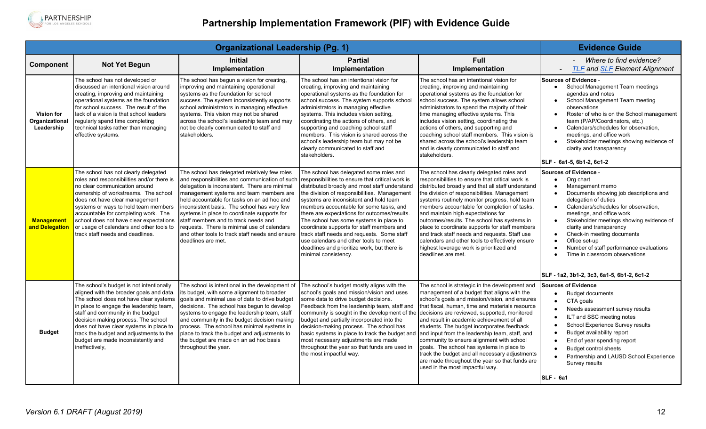

<span id="page-11-0"></span>

|                                                   | <b>Evidence Guide</b>                                                                                                                                                                                                                                                                                                                                                                                    |                                                                                                                                                                                                                                                                                                                                                                                                                                                                                                          |                                                                                                                                                                                                                                                                                                                                                                                                                                                                                                                                                                                         |                                                                                                                                                                                                                                                                                                                                                                                                                                                                                                                                                                                                                                                              |                                                                                                                                                                                                                                                                                                                                                                                                                                                                                                                 |
|---------------------------------------------------|----------------------------------------------------------------------------------------------------------------------------------------------------------------------------------------------------------------------------------------------------------------------------------------------------------------------------------------------------------------------------------------------------------|----------------------------------------------------------------------------------------------------------------------------------------------------------------------------------------------------------------------------------------------------------------------------------------------------------------------------------------------------------------------------------------------------------------------------------------------------------------------------------------------------------|-----------------------------------------------------------------------------------------------------------------------------------------------------------------------------------------------------------------------------------------------------------------------------------------------------------------------------------------------------------------------------------------------------------------------------------------------------------------------------------------------------------------------------------------------------------------------------------------|--------------------------------------------------------------------------------------------------------------------------------------------------------------------------------------------------------------------------------------------------------------------------------------------------------------------------------------------------------------------------------------------------------------------------------------------------------------------------------------------------------------------------------------------------------------------------------------------------------------------------------------------------------------|-----------------------------------------------------------------------------------------------------------------------------------------------------------------------------------------------------------------------------------------------------------------------------------------------------------------------------------------------------------------------------------------------------------------------------------------------------------------------------------------------------------------|
| <b>Component</b>                                  | <b>Not Yet Begun</b>                                                                                                                                                                                                                                                                                                                                                                                     | <b>Initial</b><br>Implementation                                                                                                                                                                                                                                                                                                                                                                                                                                                                         | <b>Partial</b><br>Implementation                                                                                                                                                                                                                                                                                                                                                                                                                                                                                                                                                        | <b>Full</b><br>Implementation                                                                                                                                                                                                                                                                                                                                                                                                                                                                                                                                                                                                                                | Where to find evidence?<br><b>TLF and SLF Element Alignment</b><br>$\overline{\phantom{a}}$                                                                                                                                                                                                                                                                                                                                                                                                                     |
| <b>Vision for</b><br>Organizational<br>Leadership | The school has not developed or<br>discussed an intentional vision around<br>creating, improving and maintaining<br>operational systems as the foundation<br>for school success. The result of the<br>lack of a vision is that school leaders<br>regularly spend time completing<br>technical tasks rather than managing<br>effective systems.                                                           | The school has begun a vision for creating,<br>improving and maintaining operational<br>systems as the foundation for school<br>success. The system inconsistently supports<br>school administrators in managing effective<br>systems. This vision may not be shared<br>across the school's leadership team and may<br>not be clearly communicated to staff and<br>stakeholders.                                                                                                                         | The school has an intentional vision for<br>creating, improving and maintaining<br>operational systems as the foundation for<br>school success. The system supports school<br>administrators in managing effective<br>systems. This includes vision setting,<br>coordinating the actions of others, and<br>supporting and coaching school staff<br>members. This vision is shared across the<br>school's leadership team but may not be<br>clearly communicated to staff and<br>stakeholders.                                                                                           | The school has an intentional vision for<br>creating, improving and maintaining<br>operational systems as the foundation for<br>school success. The system allows school<br>administrators to spend the majority of their<br>time managing effective systems. This<br>includes vision setting, coordinating the<br>actions of others, and supporting and<br>coaching school staff members. This vision is<br>shared across the school's leadership team<br>and is clearly communicated to staff and<br>stakeholders.                                                                                                                                         | Sources of Evidence -<br>School Management Team meetings<br>$\bullet$<br>agendas and notes<br>School Management Team meeting<br>$\bullet$<br>observations<br>Roster of who is on the School management<br>team (P/AP/Coordinators, etc.)<br>Calendars/schedules for observation,<br>meetings, and office work<br>Stakeholder meetings showing evidence of<br>clarity and transparency<br>SLF - 6a1-5, 6b1-2, 6c1-2                                                                                              |
| <b>Management</b><br>and Delegation               | The school has not clearly delegated<br>roles and responsibilities and/or there is<br>no clear communication around<br>ownership of workstreams. The school<br>does not have clear management<br>systems or ways to hold team members<br>accountable for completing work. The<br>school does not have clear expectations<br>or usage of calendars and other tools to<br>track staff needs and deadlines. | The school has delegated relatively few roles<br>and responsibilities and communication of such<br>delegation is inconsistent. There are minimal<br>management systems and team members are<br>held accountable for tasks on an ad hoc and<br>inconsistent basis. The school has very few<br>systems in place to coordinate supports for<br>staff members and to track needs and<br>requests. There is minimal use of calendars<br>and other tools to track staff needs and ensure<br>deadlines are met. | The school has delegated some roles and<br>responsibilities to ensure that critical work is<br>distributed broadly and most staff understand<br>the division of responsibilities. Management<br>systems are inconsistent and hold team<br>members accountable for some tasks, and<br>there are expectations for outcomes/results.<br>The school has some systems in place to<br>coordinate supports for staff members and<br>track staff needs and requests. Some staff<br>use calendars and other tools to meet<br>deadlines and prioritize work, but there is<br>minimal consistency. | The school has clearly delegated roles and<br>responsibilities to ensure that critical work is<br>distributed broadly and that all staff understand<br>the division of responsibilities. Management<br>systems routinely monitor progress, hold team<br>members accountable for completion of tasks.<br>and maintain high expectations for<br>outcomes/results. The school has systems in<br>place to coordinate supports for staff members<br>and track staff needs and requests. Staff use<br>calendars and other tools to effectively ensure<br>highest leverage work is prioritized and<br>deadlines are met.                                            | Sources of Evidence -<br>Org chart<br>$\bullet$<br>Management memo<br>$\bullet$<br>Documents showing job descriptions and<br>$\bullet$<br>delegation of duties<br>Calendars/schedules for observation,<br>$\bullet$<br>meetings, and office work<br>Stakeholder meetings showing evidence of<br>$\bullet$<br>clarity and transparency<br>Check-in meeting documents<br>Office set-up<br>Number of staff performance evaluations<br>Time in classroom observations<br>SLF - 1a2, 3b1-2, 3c3, 6a1-5, 6b1-2, 6c1-2 |
| <b>Budget</b>                                     | The school's budget is not intentionally<br>aligned with the broader goals and data.<br>The school does not have clear systems<br>in place to engage the leadership team,<br>staff and community in the budget<br>decision making process. The school<br>does not have clear systems in place to<br>track the budget and adjustments to the<br>budget are made inconsistently and<br>ineffectively,      | The school is intentional in the development of<br>its budget, with some alignment to broader<br>goals and minimal use of data to drive budget<br>decisions. The school has begun to develop<br>systems to engage the leadership team, staff<br>and community in the budget decision making<br>process. The school has minimal systems in<br>place to track the budget and adjustments to<br>the budget are made on an ad hoc basis<br>throughout the year.                                              | The school's budget mostly aligns with the<br>school's goals and mission/vision and uses<br>some data to drive budget decisions.<br>Feedback from the leadership team, staff and<br>community is sought in the development of the<br>budget and partially incorporated into the<br>decision-making process. The school has<br>basic systems in place to track the budget and<br>most necessary adjustments are made<br>throughout the year so that funds are used in<br>the most impactful way.                                                                                         | The school is strategic in the development and $\vert$ Sources of Evidence<br>management of a budget that aligns with the<br>school's goals and mission/vision, and ensures<br>that fiscal, human, time and materials resource<br>decisions are reviewed, supported, monitored<br>and result in academic achievement of all<br>students. The budget incorporates feedback<br>and input from the leadership team, staff, and<br>community to ensure alignment with school<br>goals. The school has systems in place to<br>track the budget and all necessary adjustments<br>are made throughout the year so that funds are<br>used in the most impactful way. | <b>Budget documents</b><br>$\bullet$<br>CTA goals<br>Needs assessment survey results<br>ILT and SSC meeting notes<br>School Experience Survey results<br>$\bullet$<br>Budget availability report<br>$\bullet$<br>End of year spending report<br><b>Budget control sheets</b><br>Partnership and LAUSD School Experience<br>Survey results<br><b>SLF - 6a1</b>                                                                                                                                                   |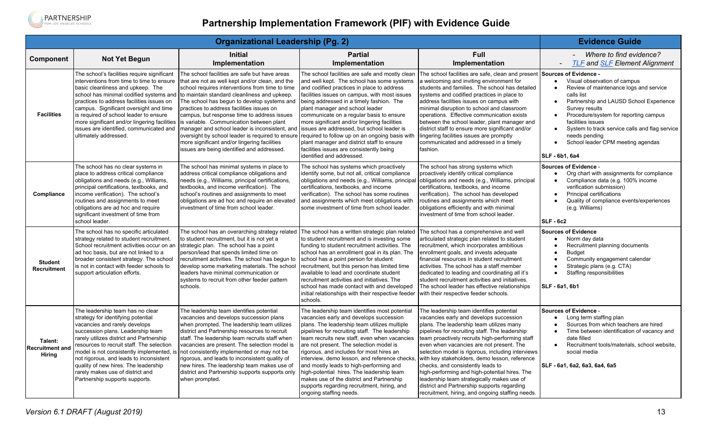

| <b>Organizational Leadership (Pg. 2)</b>           |                                                                                                                                                                                                                                                                                                                                                                                                                                             |                                                                                                                                                                                                                                                                                                                                                                                                                                                                                                                                                                                                |                                                                                                                                                                                                                                                                                                                                                                                                                                                                                                                                                                                                  | <b>Evidence Guide</b>                                                                                                                                                                                                                                                                                                                                                                                                                                                                                                                                                                                                         |                                                                                                                                                                                                                                                                                                                                                                                                            |
|----------------------------------------------------|---------------------------------------------------------------------------------------------------------------------------------------------------------------------------------------------------------------------------------------------------------------------------------------------------------------------------------------------------------------------------------------------------------------------------------------------|------------------------------------------------------------------------------------------------------------------------------------------------------------------------------------------------------------------------------------------------------------------------------------------------------------------------------------------------------------------------------------------------------------------------------------------------------------------------------------------------------------------------------------------------------------------------------------------------|--------------------------------------------------------------------------------------------------------------------------------------------------------------------------------------------------------------------------------------------------------------------------------------------------------------------------------------------------------------------------------------------------------------------------------------------------------------------------------------------------------------------------------------------------------------------------------------------------|-------------------------------------------------------------------------------------------------------------------------------------------------------------------------------------------------------------------------------------------------------------------------------------------------------------------------------------------------------------------------------------------------------------------------------------------------------------------------------------------------------------------------------------------------------------------------------------------------------------------------------|------------------------------------------------------------------------------------------------------------------------------------------------------------------------------------------------------------------------------------------------------------------------------------------------------------------------------------------------------------------------------------------------------------|
| Component                                          | <b>Not Yet Begun</b>                                                                                                                                                                                                                                                                                                                                                                                                                        | <b>Initial</b><br>Implementation                                                                                                                                                                                                                                                                                                                                                                                                                                                                                                                                                               | <b>Partial</b><br>Implementation                                                                                                                                                                                                                                                                                                                                                                                                                                                                                                                                                                 | <b>Full</b><br>Implementation                                                                                                                                                                                                                                                                                                                                                                                                                                                                                                                                                                                                 | - Where to find evidence?<br><b>TLF and SLF Element Alignment</b>                                                                                                                                                                                                                                                                                                                                          |
| <b>Facilities</b>                                  | The school's facilities require significant<br>interventions from time to time to ensure<br>basic cleanliness and upkeep. The<br>school has minimal codified systems and<br>practices to address facilities issues on<br>campus. Significant oversight and time<br>is required of school leader to ensure<br>more significant and/or lingering facilities<br>issues are identified, communicated and<br>ultimately addressed.               | The school facilities are safe but have areas<br>that are not as well kept and/or clean, and the<br>school requires interventions from time to time<br>to maintain standard cleanliness and upkeep.<br>The school has begun to develop systems and<br>practices to address facilities issues on<br>campus, but response time to address issues<br>is variable. Communication between plant<br>manager and school leader is inconsistent, and<br>oversight by school leader is required to ensure<br>more significant and/or lingering facilities<br>issues are being identified and addressed. | The school facilities are safe and mostly clean<br>and well kept. The school has some systems<br>and codified practices in place to address<br>facilities issues on campus, with most issues<br>being addressed in a timely fashion. The<br>plant manager and school leader<br>communicate on a regular basis to ensure<br>more significant and/or lingering facilities<br>issues are addressed, but school leader is<br>required to follow up on an ongoing basis with<br>plant manager and district staff to ensure<br>facilities issues are consistently being<br>identified and addressed.   | The school facilities are safe, clean and present Sources of Evidence -<br>a welcoming and inviting environment for<br>students and families. The school has detailed<br>systems and codified practices in place to<br>address facilities issues on campus with<br>minimal disruption to school and classroom<br>operations. Effective communication exists<br>between the school leader, plant manager and<br>district staff to ensure more significant and/or<br>lingering facilities issues are promptly<br>communicated and addressed in a timely<br>fashion.                                                             | Visual observation of campus<br>$\bullet$<br>Review of maintenance logs and service<br>calls list<br>Partnership and LAUSD School Experience<br>$\bullet$<br>Survey results<br>Procedure/system for reporting campus<br>$\bullet$<br>facilities issues<br>System to track service calls and flag service<br>$\bullet$<br>needs pending<br>School leader CPM meeting agendas<br>$\bullet$<br>SLF - 6b1, 6a4 |
| Compliance                                         | The school has no clear systems in<br>place to address critical compliance<br>obligations and needs (e.g., Williams,<br>principal certifications, textbooks, and<br>income verification). The school's<br>routines and assignments to meet<br>obligations are ad hoc and require<br>significant investment of time from<br>school leader.                                                                                                   | The school has minimal systems in place to<br>address critical compliance obligations and<br>needs (e.g., Williams, principal certifications,<br>textbooks, and income verification). The<br>school's routines and assignments to meet<br>obligations are ad hoc and require an elevated<br>investment of time from school leader.                                                                                                                                                                                                                                                             | The school has systems which proactively<br>identify some, but not all, critical compliance<br>obligations and needs (e.g., Williams, principal<br>certifications, textbooks, and income<br>verification). The school has some routines<br>and assignments which meet obligations with<br>some investment of time from school leader.                                                                                                                                                                                                                                                            | The school has strong systems which<br>proactively identify critical compliance<br>obligations and needs (e.g., Williams, principal<br>certifications, textbooks, and income<br>verification). The school has developed<br>routines and assignments which meet<br>obligations efficiently and with minimal<br>investment of time from school leader.                                                                                                                                                                                                                                                                          | <b>Sources of Evidence -</b><br>Org chart with assignments for compliance<br>Compliance data (e.g. 100% income<br>verification submission)<br>Principal certifications<br>$\bullet$<br>Quality of compliance events/experiences<br>(e.g. Williams)<br>SLF-6c2                                                                                                                                              |
| <b>Student</b><br><b>Recruitment</b>               | The school has no specific articulated<br>strategy related to student recruitment.<br>School recruitment activities occur on an<br>ad hoc basis, but are not linked to a<br>broader consistent strategy. The school<br>is not in contact with feeder schools to<br>support articulation efforts.                                                                                                                                            | The school has an overarching strategy related<br>to student recruitment, but it is not yet a<br>strategic plan. The school has a point<br>person/lead that spends limited time on<br>recruitment activities. The school has begun to<br>develop some marketing materials. The school<br>leaders have minimal communication or<br>systems to recruit from other feeder pattern<br>schools.                                                                                                                                                                                                     | The school has a written strategic plan related<br>to student recruitment and is investing some<br>funding to student recruitment activities. The<br>school has an enrollment goal in its plan. The<br>school has a point person for student<br>recruitment, but this person has limited time<br>available to lead and coordinate student<br>recruitment activities and initiatives. The<br>school has made contact with and developed<br>initial relationships with their respective feeder<br>schools.                                                                                         | The school has a comprehensive and well<br>articulated strategic plan related to student<br>recruitment, which incorporates ambitious<br>enrollment goals, and invests adequate<br>financial resources in student recruitment<br>activities. The school has a staff member<br>dedicated to leading and coordinating all it's<br>student recruitment activities and initiatives.<br>The school leader has effective relationships<br>with their respective feeder schools.                                                                                                                                                     | <b>Sources of Evidence</b><br>Norm day data<br>Recruitment planning documents<br><b>Budget</b><br>$\bullet$<br>Community engagement calendar<br>Strategic plans (e.g. CTA)<br>Staffing responsibilities<br>$\bullet$<br><b>SLF - 6a1, 6b1</b>                                                                                                                                                              |
| Talent:<br><b>Recruitment and</b><br><b>Hiring</b> | The leadership team has no clear<br>strategy for identifying potential<br>vacancies and rarely develops<br>succession plans. Leadership team<br>rarely utilizes district and Partnership<br>resources to recruit staff. The selection<br>model is not consistently implemented, is<br>not rigorous, and leads to inconsistent<br>quality of new hires. The leadership<br>rarely makes use of district and<br>Partnership supports supports. | The leadership team identifies potential<br>vacancies and develops succession plans<br>when prompted. The leadership team utilizes<br>district and Partnership resources to recruit<br>staff. The leadership team recruits staff when<br>vacancies are present. The selection model is<br>not consistently implemented or may not be<br>rigorous, and leads to inconsistent quality of<br>new hires. The leadership team makes use of<br>district and Partnership supports supports only<br>when prompted.                                                                                     | The leadership team identifies most potential<br>vacancies early and develops succession<br>plans. The leadership team utilizes multiple<br>pipelines for recruiting staff. The leadership<br>team recruits new staff, even when vacancies<br>are not present. The selection model is<br>rigorous, and includes for most hires an<br>interview, demo lesson, and reference checks<br>and mostly leads to high-performing and<br>high-potential hires. The leadership team<br>makes use of the district and Partnership<br>supports regarding recruitment, hiring, and<br>ongoing staffing needs. | The leadership team identifies potential<br>vacancies early and develops succession<br>plans. The leadership team utilizes many<br>pipelines for recruiting staff. The leadership<br>team proactively recruits high-performing staff<br>even when vacancies are not present. The<br>selection model is rigorous, including interviews<br>with key stakeholders, demo lesson, reference<br>checks, and consistently leads to<br>high-performing and high-potential hires. The<br>leadership team strategically makes use of<br>district and Partnership supports regarding<br>recruitment, hiring, and ongoing staffing needs. | Sources of Evidence -<br>Long term staffing plan<br>Sources from which teachers are hired<br>Time between identification of vacancy and<br>date filled<br>Recruitment tools/materials, school website,<br>$\bullet$<br>social media<br>SLF - 6a1, 6a2, 6a3, 6a4, 6a5                                                                                                                                       |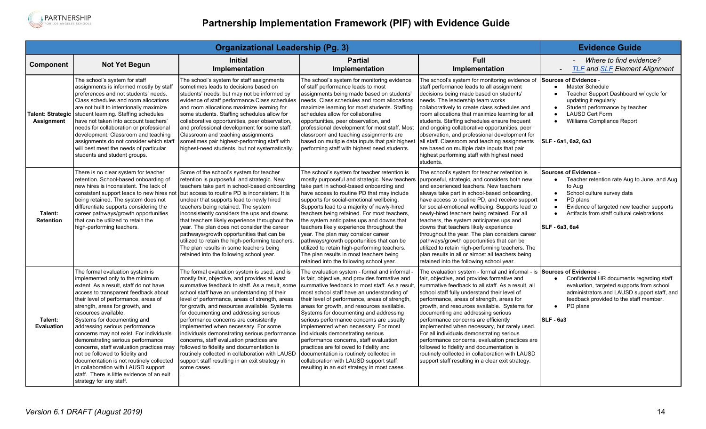

| <b>Organizational Leadership (Pg. 3)</b>      |                                                                                                                                                                                                                                                                                                                                                                                                                                                                                                                                                                                                                                                     |                                                                                                                                                                                                                                                                                                                                                                                                                                                                                                                                                                                                                                                                                                                                         |                                                                                                                                                                                                                                                                                                                                                                                                                                                                                                                                                                                                                                                      | <b>Evidence Guide</b>                                                                                                                                                                                                                                                                                                                                                                                                                                                                                                                                                                                                                                                                                     |                                                                                                                                                                                                                                                                                            |
|-----------------------------------------------|-----------------------------------------------------------------------------------------------------------------------------------------------------------------------------------------------------------------------------------------------------------------------------------------------------------------------------------------------------------------------------------------------------------------------------------------------------------------------------------------------------------------------------------------------------------------------------------------------------------------------------------------------------|-----------------------------------------------------------------------------------------------------------------------------------------------------------------------------------------------------------------------------------------------------------------------------------------------------------------------------------------------------------------------------------------------------------------------------------------------------------------------------------------------------------------------------------------------------------------------------------------------------------------------------------------------------------------------------------------------------------------------------------------|------------------------------------------------------------------------------------------------------------------------------------------------------------------------------------------------------------------------------------------------------------------------------------------------------------------------------------------------------------------------------------------------------------------------------------------------------------------------------------------------------------------------------------------------------------------------------------------------------------------------------------------------------|-----------------------------------------------------------------------------------------------------------------------------------------------------------------------------------------------------------------------------------------------------------------------------------------------------------------------------------------------------------------------------------------------------------------------------------------------------------------------------------------------------------------------------------------------------------------------------------------------------------------------------------------------------------------------------------------------------------|--------------------------------------------------------------------------------------------------------------------------------------------------------------------------------------------------------------------------------------------------------------------------------------------|
| <b>Component</b>                              | <b>Not Yet Begun</b>                                                                                                                                                                                                                                                                                                                                                                                                                                                                                                                                                                                                                                | <b>Initial</b><br>Implementation                                                                                                                                                                                                                                                                                                                                                                                                                                                                                                                                                                                                                                                                                                        | <b>Partial</b><br>Implementation                                                                                                                                                                                                                                                                                                                                                                                                                                                                                                                                                                                                                     | Full<br>Implementation                                                                                                                                                                                                                                                                                                                                                                                                                                                                                                                                                                                                                                                                                    | Where to find evidence?<br><b>TLF and SLF Element Alignment</b>                                                                                                                                                                                                                            |
| <b>Talent: Strategic</b><br><b>Assignment</b> | The school's system for staff<br>assignments is informed mostly by staff<br>preferences and not students' needs.<br>Class schedules and room allocations<br>are not built to intentionally maximize<br>student learning. Staffing schedules<br>have not taken into account teachers'<br>needs for collaboration or professional<br>development. Classroom and teaching<br>assignments do not consider which staff<br>will best meet the needs of particular<br>students and student groups.                                                                                                                                                         | The school's system for staff assignments<br>sometimes leads to decisions based on<br>students' needs, but may not be informed by<br>evidence of staff performance. Class schedules   needs. Class schedules and room allocations<br>and room allocations maximize learning for<br>some students. Staffing schedules allow for<br>collaborative opportunities, peer observation,<br>and professional development for some staff.<br>Classroom and teaching assignments<br>sometimes pair highest-performing staff with<br>highest-need students, but not systematically.                                                                                                                                                                | The school's system for monitoring evidence<br>of staff performance leads to most<br>assignments being made based on students'<br>maximize learning for most students. Staffing<br>schedules allow for collaborative<br>opportunities, peer observation, and<br>professional development for most staff. Most<br>classroom and teaching assignments are<br>based on multiple data inputs that pair highest<br>performing staff with highest need students.                                                                                                                                                                                           | The school's system for monitoring evidence of Sources of Evidence -<br>staff performance leads to all assignment<br>decisions being made based on students'<br>needs. The leadership team works<br>collaboratively to create class schedules and<br>room allocations that maximize learning for all<br>students. Staffing schedules ensure frequent<br>and ongoing collaborative opportunities, peer<br>observation, and professional development for<br>all staff. Classroom and teaching assignments<br>are based on multiple data inputs that pair<br>highest performing staff with highest need<br>students.                                                                                         | <b>Master Schedule</b><br>$\bullet$<br>Teacher Support Dashboard w/ cycle for<br>$\bullet$<br>updating it regularly<br>Student performance by teacher<br>$\bullet$<br><b>LAUSD Cert Form</b><br>Williams Compliance Report<br>SLF - 6a1, 6a2, 6a3                                          |
| Talent:<br><b>Retention</b>                   | There is no clear system for teacher<br>retention. School-based onboarding of<br>new hires is inconsistent. The lack of<br>consistent support leads to new hires not<br>being retained. The system does not<br>differentiate supports considering the<br>career pathways/growth opportunities<br>that can be utilized to retain the<br>high-performing teachers.                                                                                                                                                                                                                                                                                    | Some of the school's system for teacher<br>retention is purposeful, and strategic. New<br>teachers take part in school-based onboarding<br>but access to routine PD is inconsistent. It is<br>unclear that supports lead to newly hired<br>teachers being retained. The system<br>inconsistently considers the ups and downs<br>that teachers likely experience throughout the<br>year. The plan does not consider the career<br>pathways/growth opportunities that can be<br>utilized to retain the high-performing teachers.<br>The plan results in some teachers being<br>retained into the following school year.                                                                                                                   | The school's system for teacher retention is<br>mostly purposeful and strategic. New teachers<br>take part in school-based onboarding and<br>have access to routine PD that may include<br>supports for social-emotional wellbeing.<br>Supports lead to a majority of newly-hired<br>teachers being retained. For most teachers,<br>the system anticipates ups and downs that<br>teachers likely experience throughout the<br>year. The plan may consider career<br>pathways/growth opportunities that can be<br>utilized to retain high-performing teachers.<br>The plan results in most teachers being<br>retained into the following school year. | The school's system for teacher retention is<br>purposeful, strategic, and considers both new<br>and experienced teachers. New teachers<br>always take part in school-based onboarding,<br>have access to routine PD, and receive support<br>for social-emotional wellbeing. Supports lead to<br>newly-hired teachers being retained. For all<br>teachers, the system anticipates ups and<br>downs that teachers likely experience<br>throughout the year. The plan considers career<br>pathways/growth opportunities that can be<br>utilized to retain high-performing teachers. The<br>plan results in all or almost all teachers being<br>retained into the following school year.                     | <b>Sources of Evidence -</b><br>Teacher retention rate Aug to June, and Aug<br>$\bullet$<br>to Aug<br>School culture survey data<br>$\bullet$<br>PD plans<br>$\bullet$<br>Evidence of targeted new teacher supports<br>Artifacts from staff cultural celebrations<br><b>SLF - 6a3, 6a4</b> |
| Talent:<br>Evaluation                         | The formal evaluation system is<br>implemented only to the minimum<br>extent. As a result, staff do not have<br>access to transparent feedback about<br>their level of performance, areas of<br>strength, areas for growth, and<br>resources available.<br>Systems for documenting and<br>addressing serious performance<br>concerns may not exist. For individuals<br>demonstrating serious performance<br>concerns, staff evaluation practices may<br>not be followed to fidelity and<br>documentation is not routinely collected<br>in collaboration with LAUSD support<br>staff. There is little evidence of an exit<br>strategy for any staff. | The formal evaluation system is used, and is<br>mostly fair, objective, and provides at least<br>summative feedback to staff. As a result, some summative feedback to most staff. As a result<br>school staff have an understanding of their<br>level of performance, areas of strength, areas<br>for growth, and resources available. Systems<br>for documenting and addressing serious<br>performance concerns are consistently<br>implemented when necessary. For some<br>individuals demonstrating serious performance<br>concerns, staff evaluation practices are<br>followed to fidelity and documentation is<br>routinely collected in collaboration with LAUSD<br>support staff resulting in an exit strategy in<br>some cases. | The evaluation system - formal and informal -<br>is fair, objective, and provides formative and<br>most school staff have an understanding of<br>their level of performance, areas of strength,<br>areas for growth, and resources available.<br>Systems for documenting and addressing<br>serious performance concerns are usually<br>implemented when necessary. For most<br>individuals demonstrating serious<br>performance concerns, staff evaluation<br>practices are followed to fidelity and<br>documentation is routinely collected in<br>collaboration with LAUSD support staff<br>resulting in an exit strategy in most cases.            | The evaluation system - formal and informal - is Sources of Evidence -<br>fair, objective, and provides formative and<br>summative feedback to all staff. As a result, all<br>school staff fully understand their level of<br>performance, areas of strength, areas for<br>growth, and resources available. Systems for<br>documenting and addressing serious<br>performance concerns are efficiently<br>implemented when necessary, but rarely used.<br>For all individuals demonstrating serious<br>performance concerns, evaluation practices are<br>followed to fidelity and documentation is<br>routinely collected in collaboration with LAUSD<br>support staff resulting in a clear exit strategy. | Confidential HR documents regarding staff<br>$\bullet$<br>evaluation, targeted supports from school<br>administrators and LAUSD support staff, and<br>feedback provided to the staff member.<br>PD plans<br>$\bullet$<br>SLF-6a3                                                           |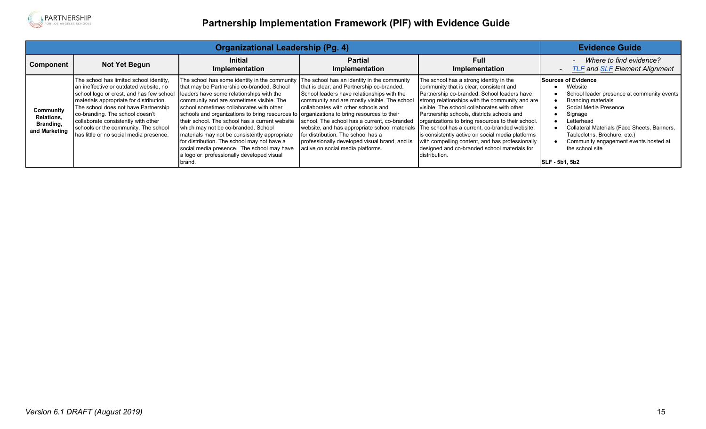

| Organizational Leadership (Pg. 4)                            |                                                                                                                                                                                                                                                                                                                                                                               |                                                                                                                                                                                                                                                                                                                                                                                                                                                                                                                                                                                                                                                                            |                                                                                                                                                                                                                                                                                                                                                                                                              | <b>Evidence Guide</b>                                                                                                                                                                                                                                                                                                                                                                                                                                                                                                                                            |                                                                                                                                                                                                                                                                                                                          |
|--------------------------------------------------------------|-------------------------------------------------------------------------------------------------------------------------------------------------------------------------------------------------------------------------------------------------------------------------------------------------------------------------------------------------------------------------------|----------------------------------------------------------------------------------------------------------------------------------------------------------------------------------------------------------------------------------------------------------------------------------------------------------------------------------------------------------------------------------------------------------------------------------------------------------------------------------------------------------------------------------------------------------------------------------------------------------------------------------------------------------------------------|--------------------------------------------------------------------------------------------------------------------------------------------------------------------------------------------------------------------------------------------------------------------------------------------------------------------------------------------------------------------------------------------------------------|------------------------------------------------------------------------------------------------------------------------------------------------------------------------------------------------------------------------------------------------------------------------------------------------------------------------------------------------------------------------------------------------------------------------------------------------------------------------------------------------------------------------------------------------------------------|--------------------------------------------------------------------------------------------------------------------------------------------------------------------------------------------------------------------------------------------------------------------------------------------------------------------------|
| Component                                                    | Not Yet Begun                                                                                                                                                                                                                                                                                                                                                                 | <b>Initial</b><br>Implementation                                                                                                                                                                                                                                                                                                                                                                                                                                                                                                                                                                                                                                           | <b>Partial</b><br>Implementation                                                                                                                                                                                                                                                                                                                                                                             | <b>Full</b><br>Implementation                                                                                                                                                                                                                                                                                                                                                                                                                                                                                                                                    | Where to find evidence?<br><b>TLF</b> and <b>SLF</b> Element Alignment<br>$\overline{\phantom{a}}$                                                                                                                                                                                                                       |
| Community<br><b>Relations,</b><br>Branding,<br>and Marketing | The school has limited school identity,<br>an ineffective or outdated website, no<br>school logo or crest, and has few school<br>materials appropriate for distribution.<br>The school does not have Partnership<br>co-branding. The school doesn't<br>collaborate consistently with other<br>schools or the community. The school<br>has little or no social media presence. | The school has some identity in the community $ $ The school has an identity in the community<br>that may be Partnership co-branded. School<br>leaders have some relationships with the<br>community and are sometimes visible. The<br>school sometimes collaborates with other<br>schools and organizations to bring resources to organizations to bring resources to their<br>their school. The school has a current website<br>which may not be co-branded. School<br>materials may not be consistently appropriate<br>for distribution. The school may not have a<br>social media presence. The school may have<br>a logo or professionally developed visual<br>brand. | that is clear, and Partnership co-branded.<br>School leaders have relationships with the<br>community and are mostly visible. The school<br>collaborates with other schools and<br>school. The school has a current, co-branded<br>website, and has appropriate school materials<br>for distribution. The school has a<br>professionally developed visual brand, and is<br>active on social media platforms. | The school has a strong identity in the<br>community that is clear, consistent and<br>Partnership co-branded. School leaders have<br>strong relationships with the community and are<br>visible. The school collaborates with other<br>Partnership schools, districts schools and<br>organizations to bring resources to their school.<br>The school has a current, co-branded website,<br>is consistently active on social media platforms<br>with compelling content, and has professionally<br>designed and co-branded school materials for<br>Idistribution. | Sources of Evidence<br>Website<br>School leader presence at community events<br><b>Branding materials</b><br>Social Media Presence<br>Signage<br>Letterhead<br>Collateral Materials (Face Sheets, Banners,<br>Tablecloths, Brochure, etc.)<br>Community engagement events hosted at<br>the school site<br>SLF - 5b1, 5b2 |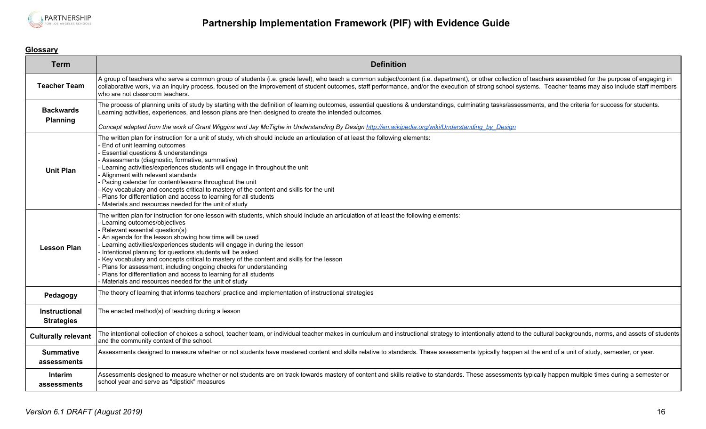

### <span id="page-15-0"></span>**Glossary**

| <b>Term</b>                        | <b>Definition</b>                                                                                                                                                                                                                                                                                                                                                                                                                                                                                                                                                                                                                                                                                          |
|------------------------------------|------------------------------------------------------------------------------------------------------------------------------------------------------------------------------------------------------------------------------------------------------------------------------------------------------------------------------------------------------------------------------------------------------------------------------------------------------------------------------------------------------------------------------------------------------------------------------------------------------------------------------------------------------------------------------------------------------------|
| <b>Teacher Team</b>                | A group of teachers who serve a common group of students (i.e. grade level), who teach a common subject/content (i.e. department), or other collection of teachers assembled for the purpose of engaging in<br>collaborative work, via an inquiry process, focused on the improvement of student outcomes, staff performance, and/or the execution of strong school systems. Teacher teams may also include staff members<br>who are not classroom teachers.                                                                                                                                                                                                                                               |
| <b>Backwards</b><br>Planning       | The process of planning units of study by starting with the definition of learning outcomes, essential questions & understandings, culminating tasks/assessments, and the criteria for success for students.<br>Learning activities, experiences, and lesson plans are then designed to create the intended outcomes.<br>Concept adapted from the work of Grant Wiggins and Jay McTighe in Understanding By Design http://en.wikipedia.org/wiki/Understanding by Design                                                                                                                                                                                                                                    |
| <b>Unit Plan</b>                   | The written plan for instruction for a unit of study, which should include an articulation of at least the following elements:<br>End of unit learning outcomes<br>Essential questions & understandings<br>Assessments (diagnostic, formative, summative)<br>Learning activities/experiences students will engage in throughout the unit<br>Alignment with relevant standards<br>Pacing calendar for content/lessons throughout the unit<br>Key vocabulary and concepts critical to mastery of the content and skills for the unit<br>Plans for differentiation and access to learning for all students<br>Materials and resources needed for the unit of study                                            |
| <b>Lesson Plan</b>                 | The written plan for instruction for one lesson with students, which should include an articulation of at least the following elements:<br>Learning outcomes/objectives<br>Relevant essential question(s)<br>An agenda for the lesson showing how time will be used<br>Learning activities/experiences students will engage in during the lesson<br>Intentional planning for questions students will be asked<br>Key vocabulary and concepts critical to mastery of the content and skills for the lesson<br>Plans for assessment, including ongoing checks for understanding<br>Plans for differentiation and access to learning for all students<br>Materials and resources needed for the unit of study |
| Pedagogy                           | The theory of learning that informs teachers' practice and implementation of instructional strategies                                                                                                                                                                                                                                                                                                                                                                                                                                                                                                                                                                                                      |
| Instructional<br><b>Strategies</b> | The enacted method(s) of teaching during a lesson                                                                                                                                                                                                                                                                                                                                                                                                                                                                                                                                                                                                                                                          |
| <b>Culturally relevant</b>         | The intentional collection of choices a school, teacher team, or individual teacher makes in curriculum and instructional strategy to intentionally attend to the cultural backgrounds, norms, and assets of students<br>and the community context of the school.                                                                                                                                                                                                                                                                                                                                                                                                                                          |
| <b>Summative</b><br>assessments    | Assessments designed to measure whether or not students have mastered content and skills relative to standards. These assessments typically happen at the end of a unit of study, semester, or year.                                                                                                                                                                                                                                                                                                                                                                                                                                                                                                       |
| Interim<br>assessments             | Assessments designed to measure whether or not students are on track towards mastery of content and skills relative to standards. These assessments typically happen multiple times during a semester or<br>school year and serve as "dipstick" measures                                                                                                                                                                                                                                                                                                                                                                                                                                                   |